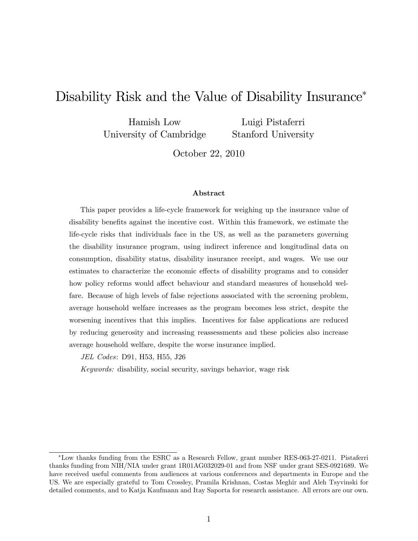# Disability Risk and the Value of Disability Insurance<sup>\*</sup>

Hamish Low University of Cambridge

Luigi Pistaferri Stanford University

October 22, 2010

### Abstract

This paper provides a life-cycle framework for weighing up the insurance value of disability benefits against the incentive cost. Within this framework, we estimate the life-cycle risks that individuals face in the US, as well as the parameters governing the disability insurance program, using indirect inference and longitudinal data on consumption, disability status, disability insurance receipt, and wages. We use our estimates to characterize the economic effects of disability programs and to consider how policy reforms would affect behaviour and standard measures of household welfare. Because of high levels of false rejections associated with the screening problem, average household welfare increases as the program becomes less strict, despite the worsening incentives that this implies. Incentives for false applications are reduced by reducing generosity and increasing reassessments and these policies also increase average household welfare, despite the worse insurance implied.

JEL Codes: D91, H53, H55, J26

Keywords: disability, social security, savings behavior, wage risk

Low thanks funding from the ESRC as a Research Fellow, grant number RES-063-27-0211. Pistaferri thanks funding from NIH/NIA under grant 1R01AG032029-01 and from NSF under grant SES-0921689. We have received useful comments from audiences at various conferences and departments in Europe and the US. We are especially grateful to Tom Crossley, Pramila Krishnan, Costas Meghir and Aleh Tsyvinski for detailed comments, and to Katja Kaufmann and Itay Saporta for research assistance. All errors are our own.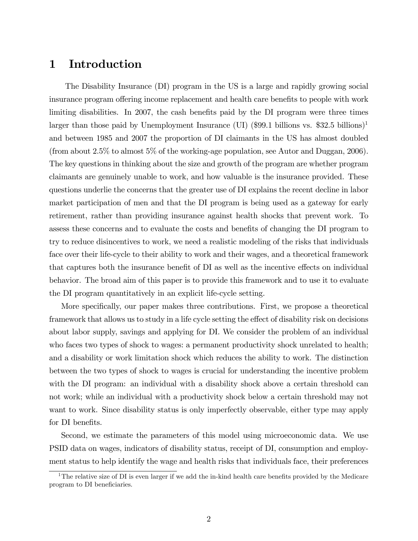# 1 Introduction

The Disability Insurance (DI) program in the US is a large and rapidly growing social insurance program offering income replacement and health care benefits to people with work limiting disabilities. In 2007, the cash benefits paid by the DI program were three times larger than those paid by Unemployment Insurance (UI) (\$99.1 billions vs. \$32.5 billions)<sup>1</sup> and between 1985 and 2007 the proportion of DI claimants in the US has almost doubled (from about 2.5% to almost 5% of the working-age population, see Autor and Duggan, 2006). The key questions in thinking about the size and growth of the program are whether program claimants are genuinely unable to work, and how valuable is the insurance provided. These questions underlie the concerns that the greater use of DI explains the recent decline in labor market participation of men and that the DI program is being used as a gateway for early retirement, rather than providing insurance against health shocks that prevent work. To assess these concerns and to evaluate the costs and benefits of changing the DI program to try to reduce disincentives to work, we need a realistic modeling of the risks that individuals face over their life-cycle to their ability to work and their wages, and a theoretical framework that captures both the insurance benefit of DI as well as the incentive effects on individual behavior. The broad aim of this paper is to provide this framework and to use it to evaluate the DI program quantitatively in an explicit life-cycle setting.

More specifically, our paper makes three contributions. First, we propose a theoretical framework that allows us to study in a life cycle setting the effect of disability risk on decisions about labor supply, savings and applying for DI. We consider the problem of an individual who faces two types of shock to wages: a permanent productivity shock unrelated to health; and a disability or work limitation shock which reduces the ability to work. The distinction between the two types of shock to wages is crucial for understanding the incentive problem with the DI program: an individual with a disability shock above a certain threshold can not work; while an individual with a productivity shock below a certain threshold may not want to work. Since disability status is only imperfectly observable, either type may apply for DI benefits.

Second, we estimate the parameters of this model using microeconomic data. We use PSID data on wages, indicators of disability status, receipt of DI, consumption and employment status to help identify the wage and health risks that individuals face, their preferences

<sup>&</sup>lt;sup>1</sup>The relative size of DI is even larger if we add the in-kind health care benefits provided by the Medicare program to DI beneficiaries.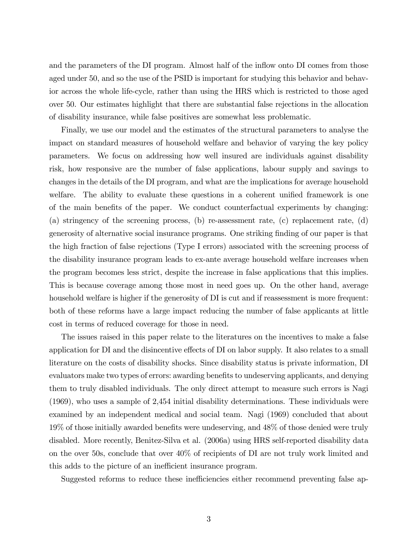and the parameters of the DI program. Almost half of the inflow onto DI comes from those aged under 50, and so the use of the PSID is important for studying this behavior and behavior across the whole life-cycle, rather than using the HRS which is restricted to those aged over 50. Our estimates highlight that there are substantial false rejections in the allocation of disability insurance, while false positives are somewhat less problematic.

Finally, we use our model and the estimates of the structural parameters to analyse the impact on standard measures of household welfare and behavior of varying the key policy parameters. We focus on addressing how well insured are individuals against disability risk, how responsive are the number of false applications, labour supply and savings to changes in the details of the DI program, and what are the implications for average household welfare. The ability to evaluate these questions in a coherent unified framework is one of the main benefits of the paper. We conduct counterfactual experiments by changing: (a) stringency of the screening process, (b) re-assessment rate, (c) replacement rate, (d) generosity of alternative social insurance programs. One striking finding of our paper is that the high fraction of false rejections (Type I errors) associated with the screening process of the disability insurance program leads to ex-ante average household welfare increases when the program becomes less strict, despite the increase in false applications that this implies. This is because coverage among those most in need goes up. On the other hand, average household welfare is higher if the generosity of DI is cut and if reassessment is more frequent: both of these reforms have a large impact reducing the number of false applicants at little cost in terms of reduced coverage for those in need.

The issues raised in this paper relate to the literatures on the incentives to make a false application for DI and the disincentive effects of DI on labor supply. It also relates to a small literature on the costs of disability shocks. Since disability status is private information, DI evaluators make two types of errors: awarding benefits to undeserving applicants, and denying them to truly disabled individuals. The only direct attempt to measure such errors is Nagi (1969), who uses a sample of 2,454 initial disability determinations. These individuals were examined by an independent medical and social team. Nagi (1969) concluded that about  $19\%$  of those initially awarded benefits were undeserving, and  $48\%$  of those denied were truly disabled. More recently, Benitez-Silva et al. (2006a) using HRS self-reported disability data on the over 50s, conclude that over 40% of recipients of DI are not truly work limited and this adds to the picture of an inefficient insurance program.

Suggested reforms to reduce these inefficiencies either recommend preventing false ap-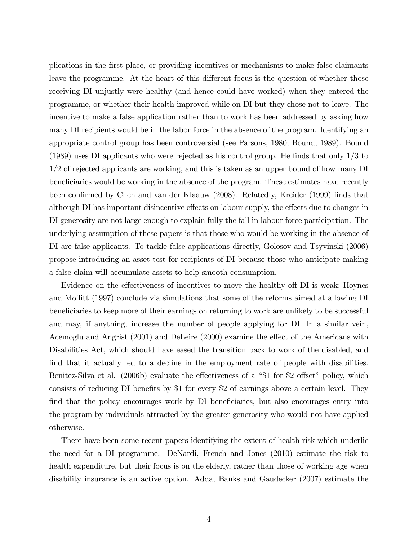plications in the Örst place, or providing incentives or mechanisms to make false claimants leave the programme. At the heart of this different focus is the question of whether those receiving DI unjustly were healthy (and hence could have worked) when they entered the programme, or whether their health improved while on DI but they chose not to leave. The incentive to make a false application rather than to work has been addressed by asking how many DI recipients would be in the labor force in the absence of the program. Identifying an appropriate control group has been controversial (see Parsons, 1980; Bound, 1989). Bound  $(1989)$  uses DI applicants who were rejected as his control group. He finds that only  $1/3$  to 1/2 of rejected applicants are working, and this is taken as an upper bound of how many DI beneficiaries would be working in the absence of the program. These estimates have recently been confirmed by Chen and van der Klaauw (2008). Relatedly, Kreider (1999) finds that although DI has important disincentive effects on labour supply, the effects due to changes in DI generosity are not large enough to explain fully the fall in labour force participation. The underlying assumption of these papers is that those who would be working in the absence of DI are false applicants. To tackle false applications directly, Golosov and Tsyvinski (2006) propose introducing an asset test for recipients of DI because those who anticipate making a false claim will accumulate assets to help smooth consumption.

Evidence on the effectiveness of incentives to move the healthy of DI is weak: Hoynes and Moffitt (1997) conclude via simulations that some of the reforms aimed at allowing DI beneficiaries to keep more of their earnings on returning to work are unlikely to be successful and may, if anything, increase the number of people applying for DI. In a similar vein, Acemoglu and Angrist (2001) and DeLeire (2000) examine the effect of the Americans with Disabilities Act, which should have eased the transition back to work of the disabled, and find that it actually led to a decline in the employment rate of people with disabilities. Benitez-Silva et al.  $(2006b)$  evaluate the effectiveness of a "\$1 for \$2 offset" policy, which consists of reducing DI benefits by \$1 for every \$2 of earnings above a certain level. They find that the policy encourages work by DI beneficiaries, but also encourages entry into the program by individuals attracted by the greater generosity who would not have applied otherwise.

There have been some recent papers identifying the extent of health risk which underlie the need for a DI programme. DeNardi, French and Jones (2010) estimate the risk to health expenditure, but their focus is on the elderly, rather than those of working age when disability insurance is an active option. Adda, Banks and Gaudecker (2007) estimate the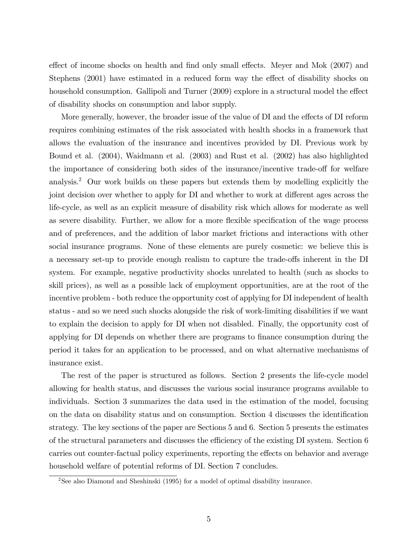effect of income shocks on health and find only small effects. Meyer and Mok (2007) and Stephens (2001) have estimated in a reduced form way the effect of disability shocks on household consumption. Gallipoli and Turner (2009) explore in a structural model the effect of disability shocks on consumption and labor supply.

More generally, however, the broader issue of the value of DI and the effects of DI reform requires combining estimates of the risk associated with health shocks in a framework that allows the evaluation of the insurance and incentives provided by DI. Previous work by Bound et al. (2004), Waidmann et al. (2003) and Rust et al. (2002) has also highlighted the importance of considering both sides of the insurance/incentive trade-off for welfare analysis.<sup>2</sup> Our work builds on these papers but extends them by modelling explicitly the joint decision over whether to apply for DI and whether to work at different ages across the life-cycle, as well as an explicit measure of disability risk which allows for moderate as well as severe disability. Further, we allow for a more flexible specification of the wage process and of preferences, and the addition of labor market frictions and interactions with other social insurance programs. None of these elements are purely cosmetic: we believe this is a necessary set-up to provide enough realism to capture the trade-offs inherent in the DI system. For example, negative productivity shocks unrelated to health (such as shocks to skill prices), as well as a possible lack of employment opportunities, are at the root of the incentive problem - both reduce the opportunity cost of applying for DI independent of health status - and so we need such shocks alongside the risk of work-limiting disabilities if we want to explain the decision to apply for DI when not disabled. Finally, the opportunity cost of applying for DI depends on whether there are programs to finance consumption during the period it takes for an application to be processed, and on what alternative mechanisms of insurance exist.

The rest of the paper is structured as follows. Section 2 presents the life-cycle model allowing for health status, and discusses the various social insurance programs available to individuals. Section 3 summarizes the data used in the estimation of the model, focusing on the data on disability status and on consumption. Section 4 discusses the identification strategy. The key sections of the paper are Sections 5 and 6. Section 5 presents the estimates of the structural parameters and discusses the efficiency of the existing DI system. Section 6 carries out counter-factual policy experiments, reporting the effects on behavior and average household welfare of potential reforms of DI. Section 7 concludes.

<sup>2</sup>See also Diamond and Sheshinski (1995) for a model of optimal disability insurance.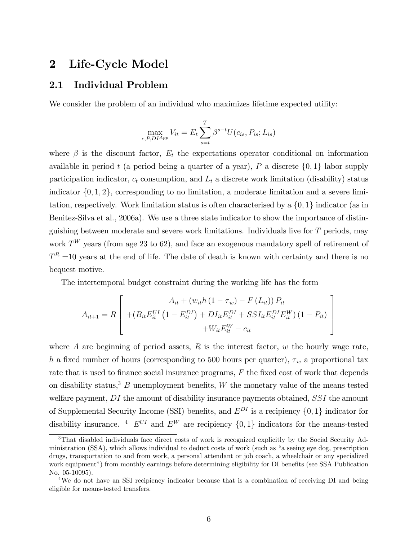# 2 Life-Cycle Model

# 2.1 Individual Problem

We consider the problem of an individual who maximizes lifetime expected utility:

$$
\max_{c, P, D I^{App}} V_{it} = E_t \sum_{s=t}^{T} \beta^{s-t} U(c_{is}, P_{is}; L_{is})
$$

where  $\beta$  is the discount factor,  $E_t$  the expectations operator conditional on information available in period t (a period being a quarter of a year), P a discrete  $\{0,1\}$  labor supply participation indicator,  $c_t$  consumption, and  $L_t$  a discrete work limitation (disability) status indicator  $\{0, 1, 2\}$ , corresponding to no limitation, a moderate limitation and a severe limitation, respectively. Work limitation status is often characterised by a  $\{0, 1\}$  indicator (as in Benitez-Silva et al., 2006a). We use a three state indicator to show the importance of distinguishing between moderate and severe work limitations. Individuals live for  $T$  periods, may work  $T^W$  years (from age 23 to 62), and face an exogenous mandatory spell of retirement of  $T<sup>R</sup>$  =10 years at the end of life. The date of death is known with certainty and there is no bequest motive.

The intertemporal budget constraint during the working life has the form

$$
A_{it+1} = R \left[ \begin{array}{c} A_{it} + (w_{it}h (1 - \tau_w) - F (L_{it})) P_{it} \\ + (B_{it} E_{it}^{UI} (1 - E_{it}^{DI}) + D I_{it} E_{it}^{DI} + S S I_{it} E_{it}^{DI} E_{it}^{W}) (1 - P_{it}) \\ + W_{it} E_{it}^{W} - c_{it} \end{array} \right]
$$

where A are beginning of period assets,  $R$  is the interest factor,  $w$  the hourly wage rate, h a fixed number of hours (corresponding to 500 hours per quarter),  $\tau_w$  a proportional tax rate that is used to finance social insurance programs,  $F$  the fixed cost of work that depends on disability status,<sup>3</sup> B unemployment benefits, W the monetary value of the means tested welfare payment, DI the amount of disability insurance payments obtained, SSI the amount of Supplemental Security Income (SSI) benefits, and  $E^{DI}$  is a recipiency  $\{0, 1\}$  indicator for disability insurance. <sup>4</sup>  $E^{UI}$  and  $E^{W}$  are recipiency  $\{0, 1\}$  indicators for the means-tested

<sup>3</sup>That disabled individuals face direct costs of work is recognized explicitly by the Social Security Administration (SSA), which allows individual to deduct costs of work (such as "a seeing eye dog, prescription drugs, transportation to and from work, a personal attendant or job coach, a wheelchair or any specialized work equipment") from monthly earnings before determining eligibility for DI benefits (see SSA Publication No. 05-10095).

<sup>&</sup>lt;sup>4</sup>We do not have an SSI recipiency indicator because that is a combination of receiving DI and being eligible for means-tested transfers.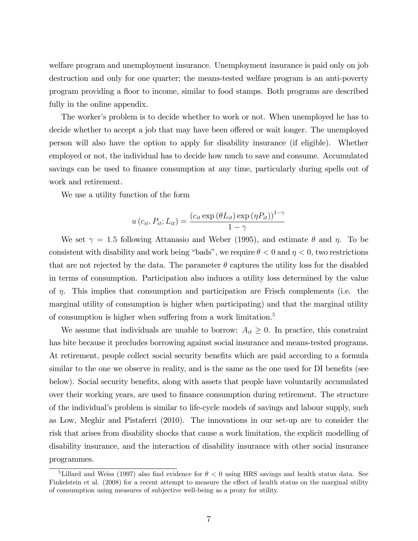welfare program and unemployment insurance. Unemployment insurance is paid only on job destruction and only for one quarter; the means-tested welfare program is an anti-poverty program providing a áoor to income, similar to food stamps. Both programs are described fully in the online appendix.

The worker's problem is to decide whether to work or not. When unemployed he has to decide whether to accept a job that may have been offered or wait longer. The unemployed person will also have the option to apply for disability insurance (if eligible). Whether employed or not, the individual has to decide how much to save and consume. Accumulated savings can be used to finance consumption at any time, particularly during spells out of work and retirement.

We use a utility function of the form

$$
u\left(c_{it}, P_{it}; L_{it}\right) = \frac{\left(c_{it} \exp\left(\theta L_{it}\right) \exp\left(\eta P_{it}\right)\right)^{1-\gamma}}{1-\gamma}
$$

We set  $\gamma = 1.5$  following Attanasio and Weber (1995), and estimate  $\theta$  and  $\eta$ . To be consistent with disability and work being "bads", we require  $\theta < 0$  and  $\eta < 0$ , two restrictions that are not rejected by the data. The parameter  $\theta$  captures the utility loss for the disabled in terms of consumption. Participation also induces a utility loss determined by the value of  $\eta$ . This implies that consumption and participation are Frisch complements (i.e. the marginal utility of consumption is higher when participating) and that the marginal utility of consumption is higher when suffering from a work limitation.<sup>5</sup>

We assume that individuals are unable to borrow:  $A_{it} \geq 0$ . In practice, this constraint has bite because it precludes borrowing against social insurance and means-tested programs. At retirement, people collect social security benefits which are paid according to a formula similar to the one we observe in reality, and is the same as the one used for DI benefits (see below). Social security benefits, along with assets that people have voluntarily accumulated over their working years, are used to Önance consumption during retirement. The structure of the individualís problem is similar to life-cycle models of savings and labour supply, such as Low, Meghir and Pistaferri (2010). The innovations in our set-up are to consider the risk that arises from disability shocks that cause a work limitation, the explicit modelling of disability insurance, and the interaction of disability insurance with other social insurance programmes.

<sup>&</sup>lt;sup>5</sup>Lillard and Weiss (1997) also find evidence for  $\theta < 0$  using HRS savings and health status data. See Finkelstein et al. (2008) for a recent attempt to measure the effect of health status on the marginal utility of consumption using measures of subjective well-being as a proxy for utility.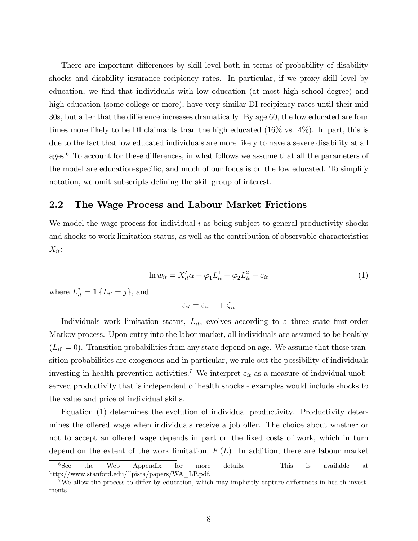There are important differences by skill level both in terms of probability of disability shocks and disability insurance recipiency rates. In particular, if we proxy skill level by education, we find that individuals with low education (at most high school degree) and high education (some college or more), have very similar DI recipiency rates until their mid 30s, but after that the difference increases dramatically. By age 60, the low educated are four times more likely to be DI claimants than the high educated  $(16\% \text{ vs. } 4\%)$ . In part, this is due to the fact that low educated individuals are more likely to have a severe disability at all ages.<sup>6</sup> To account for these differences, in what follows we assume that all the parameters of the model are education-specific, and much of our focus is on the low educated. To simplify notation, we omit subscripts defining the skill group of interest.

### 2.2 The Wage Process and Labour Market Frictions

We model the wage process for individual  $i$  as being subject to general productivity shocks and shocks to work limitation status, as well as the contribution of observable characteristics  $X_{it}$ :

$$
\ln w_{it} = X_{it}'\alpha + \varphi_1 L_{it}^1 + \varphi_2 L_{it}^2 + \varepsilon_{it}
$$
\n<sup>(1)</sup>

where  $L_{it}^j = \mathbf{1} \{ L_{it} = j \}$ , and

$$
\varepsilon_{it} = \varepsilon_{it-1} + \zeta_{it}
$$

Individuals work limitation status,  $L_{it}$ , evolves according to a three state first-order Markov process. Upon entry into the labor market, all individuals are assumed to be healthy  $(L_{i0} = 0)$ . Transition probabilities from any state depend on age. We assume that these transition probabilities are exogenous and in particular, we rule out the possibility of individuals investing in health prevention activities.<sup>7</sup> We interpret  $\varepsilon_{it}$  as a measure of individual unobserved productivity that is independent of health shocks - examples would include shocks to the value and price of individual skills.

Equation (1) determines the evolution of individual productivity. Productivity determines the offered wage when individuals receive a job offer. The choice about whether or not to accept an offered wage depends in part on the fixed costs of work, which in turn depend on the extent of the work limitation,  $F(L)$ . In addition, there are labour market

 ${}^{6}$ See the Web Appendix for more details. This is available at http://www.stanford.edu/~pista/papers/WA\_LP.pdf.

<sup>&</sup>lt;sup>7</sup>We allow the process to differ by education, which may implicitly capture differences in health investments.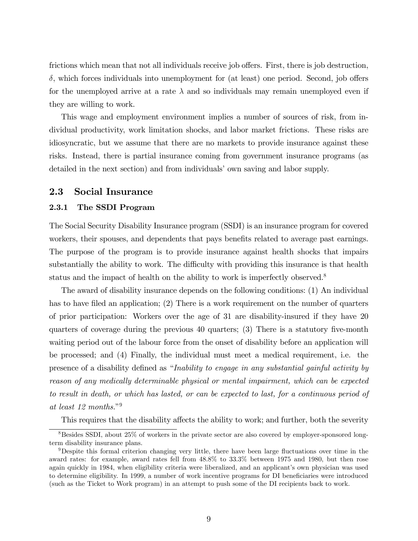frictions which mean that not all individuals receive job offers. First, there is job destruction,  $\delta$ , which forces individuals into unemployment for (at least) one period. Second, job offers for the unemployed arrive at a rate  $\lambda$  and so individuals may remain unemployed even if they are willing to work.

This wage and employment environment implies a number of sources of risk, from individual productivity, work limitation shocks, and labor market frictions. These risks are idiosyncratic, but we assume that there are no markets to provide insurance against these risks. Instead, there is partial insurance coming from government insurance programs (as detailed in the next section) and from individuals' own saving and labor supply.

### 2.3 Social Insurance

### 2.3.1 The SSDI Program

The Social Security Disability Insurance program (SSDI) is an insurance program for covered workers, their spouses, and dependents that pays benefits related to average past earnings. The purpose of the program is to provide insurance against health shocks that impairs substantially the ability to work. The difficulty with providing this insurance is that health status and the impact of health on the ability to work is imperfectly observed.<sup>8</sup>

The award of disability insurance depends on the following conditions: (1) An individual has to have filed an application;  $(2)$  There is a work requirement on the number of quarters of prior participation: Workers over the age of 31 are disability-insured if they have 20 quarters of coverage during the previous  $40$  quarters;  $(3)$  There is a statutory five-month waiting period out of the labour force from the onset of disability before an application will be processed; and (4) Finally, the individual must meet a medical requirement, i.e. the presence of a disability defined as "Inability to engage in any substantial gainful activity by reason of any medically determinable physical or mental impairment, which can be expected to result in death, or which has lasted, or can be expected to last, for a continuous period of at least  $12$  months."<sup>9</sup>

This requires that the disability affects the ability to work; and further, both the severity

<sup>&</sup>lt;sup>8</sup>Besides SSDI, about 25% of workers in the private sector are also covered by employer-sponsored longterm disability insurance plans.

<sup>&</sup>lt;sup>9</sup>Despite this formal criterion changing very little, there have been large fluctuations over time in the award rates: for example, award rates fell from 48.8% to 33.3% between 1975 and 1980, but then rose again quickly in 1984, when eligibility criteria were liberalized, and an applicant's own physician was used to determine eligibility. In 1999, a number of work incentive programs for DI beneficiaries were introduced (such as the Ticket to Work program) in an attempt to push some of the DI recipients back to work.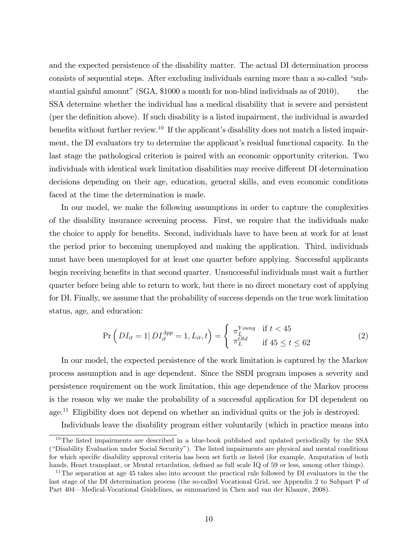and the expected persistence of the disability matter. The actual DI determination process consists of sequential steps. After excluding individuals earning more than a so-called "substantial gainful amount" (SGA,  $$1000$  a month for non-blind individuals as of  $2010$ ), the SSA determine whether the individual has a medical disability that is severe and persistent (per the definition above). If such disability is a listed impairment, the individual is awarded benefits without further review.<sup>10</sup> If the applicant's disability does not match a listed impairment, the DI evaluators try to determine the applicant's residual functional capacity. In the last stage the pathological criterion is paired with an economic opportunity criterion. Two individuals with identical work limitation disabilities may receive different DI determination decisions depending on their age, education, general skills, and even economic conditions faced at the time the determination is made.

In our model, we make the following assumptions in order to capture the complexities of the disability insurance screening process. First, we require that the individuals make the choice to apply for benefits. Second, individuals have to have been at work for at least the period prior to becoming unemployed and making the application. Third, individuals must have been unemployed for at least one quarter before applying. Successful applicants begin receiving benefits in that second quarter. Unsuccessful individuals must wait a further quarter before being able to return to work, but there is no direct monetary cost of applying for DI. Finally, we assume that the probability of success depends on the true work limitation status, age, and education:

$$
\Pr\left(DI_{it} = 1 | DI_{it}^{App} = 1, L_{it}, t\right) = \begin{cases} \pi_L^{Young} & \text{if } t < 45\\ \pi_L^{Old} & \text{if } 45 \le t \le 62 \end{cases}
$$
 (2)

In our model, the expected persistence of the work limitation is captured by the Markov process assumption and is age dependent. Since the SSDI program imposes a severity and persistence requirement on the work limitation, this age dependence of the Markov process is the reason why we make the probability of a successful application for DI dependent on age.<sup>11</sup> Eligibility does not depend on whether an individual quits or the job is destroyed.

Individuals leave the disability program either voluntarily (which in practice means into

 $10$ The listed impairments are described in a blue-book published and updated periodically by the SSA ("Disability Evaluation under Social Security"). The listed impairments are physical and mental conditions for which specific disability approval criteria has been set forth or listed (for example, Amputation of both hands, Heart transplant, or Mental retardation, defined as full scale IQ of 59 or less, among other things).

 $11$ The separation at age 45 takes also into account the practical rule followed by DI evaluators in the the last stage of the DI determination process (the so-called Vocational Grid, see Appendix 2 to Subpart P of Part 404—Medical-Vocational Guidelines, as summarized in Chen and van der Klaauw, 2008).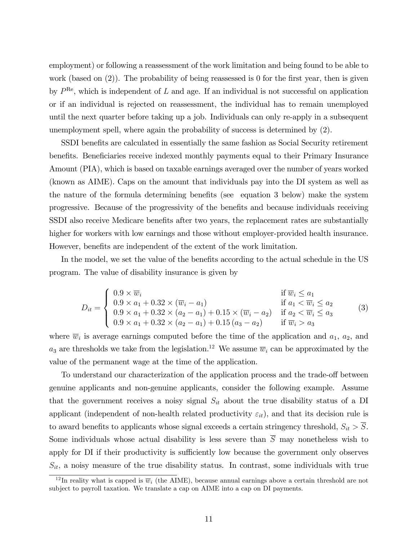employment) or following a reassessment of the work limitation and being found to be able to work (based on  $(2)$ ). The probability of being reassessed is 0 for the first year, then is given by  $P^{\text{Re}}$ , which is independent of L and age. If an individual is not successful on application or if an individual is rejected on reassessment, the individual has to remain unemployed until the next quarter before taking up a job. Individuals can only re-apply in a subsequent unemployment spell, where again the probability of success is determined by (2).

SSDI benefits are calculated in essentially the same fashion as Social Security retirement benefits. Beneficiaries receive indexed monthly payments equal to their Primary Insurance Amount (PIA), which is based on taxable earnings averaged over the number of years worked (known as AIME). Caps on the amount that individuals pay into the DI system as well as the nature of the formula determining benefits (see equation 3 below) make the system progressive. Because of the progressivity of the benefits and because individuals receiving SSDI also receive Medicare benefits after two years, the replacement rates are substantially higher for workers with low earnings and those without employer-provided health insurance. However, benefits are independent of the extent of the work limitation.

In the model, we set the value of the benefits according to the actual schedule in the US program. The value of disability insurance is given by

$$
D_{it} = \begin{cases} 0.9 \times \overline{w}_{i} & \text{if } \overline{w}_{i} \le a_{1} \\ 0.9 \times a_{1} + 0.32 \times (\overline{w}_{i} - a_{1}) & \text{if } a_{1} < \overline{w}_{i} \le a_{2} \\ 0.9 \times a_{1} + 0.32 \times (a_{2} - a_{1}) + 0.15 \times (\overline{w}_{i} - a_{2}) & \text{if } a_{2} < \overline{w}_{i} \le a_{3} \\ 0.9 \times a_{1} + 0.32 \times (a_{2} - a_{1}) + 0.15 (a_{3} - a_{2}) & \text{if } \overline{w}_{i} > a_{3} \end{cases}
$$
(3)

where  $\overline{w}_i$  is average earnings computed before the time of the application and  $a_1, a_2$ , and  $a_3$  are thresholds we take from the legislation.<sup>12</sup> We assume  $\overline{w}_i$  can be approximated by the value of the permanent wage at the time of the application.

To understand our characterization of the application process and the trade-off between genuine applicants and non-genuine applicants, consider the following example. Assume that the government receives a noisy signal  $S_{it}$  about the true disability status of a DI applicant (independent of non-health related productivity  $\varepsilon_{it}$ ), and that its decision rule is to award benefits to applicants whose signal exceeds a certain stringency threshold,  $S_{it} > S$ . Some individuals whose actual disability is less severe than  $\overline{S}$  may nonetheless wish to apply for DI if their productivity is sufficiently low because the government only observes  $S_{it}$ , a noisy measure of the true disability status. In contrast, some individuals with true

<sup>&</sup>lt;sup>12</sup>In reality what is capped is  $\overline{w}_i$  (the AIME), because annual earnings above a certain threshold are not subject to payroll taxation. We translate a cap on AIME into a cap on DI payments.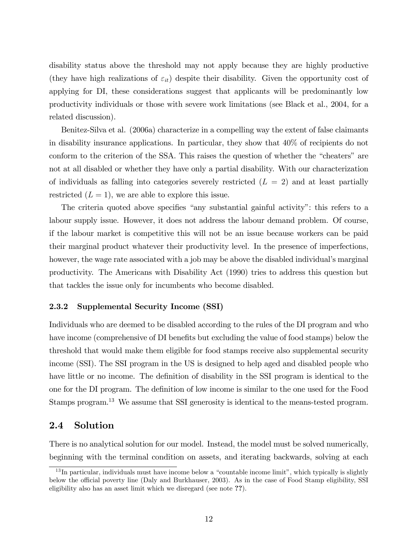disability status above the threshold may not apply because they are highly productive (they have high realizations of  $\varepsilon_{it}$ ) despite their disability. Given the opportunity cost of applying for DI, these considerations suggest that applicants will be predominantly low productivity individuals or those with severe work limitations (see Black et al., 2004, for a related discussion).

Benitez-Silva et al. (2006a) characterize in a compelling way the extent of false claimants in disability insurance applications. In particular, they show that 40% of recipients do not conform to the criterion of the SSA. This raises the question of whether the "cheaters" are not at all disabled or whether they have only a partial disability. With our characterization of individuals as falling into categories severely restricted  $(L = 2)$  and at least partially restricted  $(L = 1)$ , we are able to explore this issue.

The criteria quoted above specifies "any substantial gainful activity": this refers to a labour supply issue. However, it does not address the labour demand problem. Of course, if the labour market is competitive this will not be an issue because workers can be paid their marginal product whatever their productivity level. In the presence of imperfections, however, the wage rate associated with a job may be above the disabled individual's marginal productivity. The Americans with Disability Act (1990) tries to address this question but that tackles the issue only for incumbents who become disabled.

### 2.3.2 Supplemental Security Income (SSI)

Individuals who are deemed to be disabled according to the rules of the DI program and who have income (comprehensive of DI benefits but excluding the value of food stamps) below the threshold that would make them eligible for food stamps receive also supplemental security income (SSI). The SSI program in the US is designed to help aged and disabled people who have little or no income. The definition of disability in the SSI program is identical to the one for the DI program. The definition of low income is similar to the one used for the Food Stamps program.<sup>13</sup> We assume that SSI generosity is identical to the means-tested program.

# 2.4 Solution

There is no analytical solution for our model. Instead, the model must be solved numerically, beginning with the terminal condition on assets, and iterating backwards, solving at each

 $13$  In particular, individuals must have income below a "countable income limit", which typically is slightly below the official poverty line (Daly and Burkhauser, 2003). As in the case of Food Stamp eligibility, SSI eligibility also has an asset limit which we disregard (see note ??).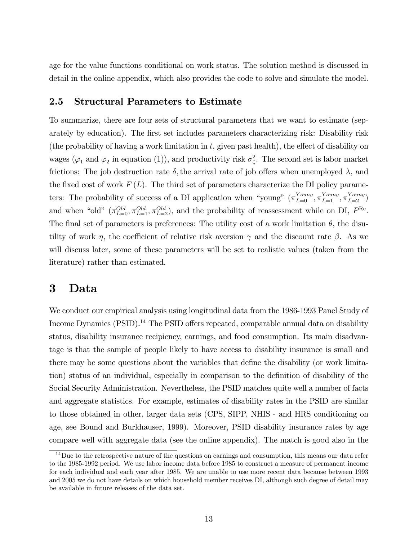age for the value functions conditional on work status. The solution method is discussed in detail in the online appendix, which also provides the code to solve and simulate the model.

# 2.5 Structural Parameters to Estimate

To summarize, there are four sets of structural parameters that we want to estimate (separately by education). The first set includes parameters characterizing risk: Disability risk (the probability of having a work limitation in  $t$ , given past health), the effect of disability on wages ( $\varphi_1$  and  $\varphi_2$  in equation (1)), and productivity risk  $\sigma_{\zeta}^2$ . The second set is labor market frictions: The job destruction rate  $\delta$ , the arrival rate of job offers when unemployed  $\lambda$ , and the fixed cost of work  $F(L)$ . The third set of parameters characterize the DI policy parameters: The probability of success of a DI application when "young"  $(\pi_{L=0}^{Young}, \pi_{L=1}^{Young}, \pi_{L=2}^{Young})$ and when "old"  $(\pi_{L=0}^{Old}, \pi_{L=1}^{Old}, \pi_{L=2}^{Old})$ , and the probability of reassessment while on DI,  $P^{\text{Re}}$ . The final set of parameters is preferences: The utility cost of a work limitation  $\theta$ , the disutility of work  $\eta$ , the coefficient of relative risk aversion  $\gamma$  and the discount rate  $\beta$ . As we will discuss later, some of these parameters will be set to realistic values (taken from the literature) rather than estimated.

# 3 Data

We conduct our empirical analysis using longitudinal data from the 1986-1993 Panel Study of Income Dynamics  $(PSID)$ .<sup>14</sup> The PSID offers repeated, comparable annual data on disability status, disability insurance recipiency, earnings, and food consumption. Its main disadvantage is that the sample of people likely to have access to disability insurance is small and there may be some questions about the variables that define the disability (or work limitation) status of an individual, especially in comparison to the definition of disability of the Social Security Administration. Nevertheless, the PSID matches quite well a number of facts and aggregate statistics. For example, estimates of disability rates in the PSID are similar to those obtained in other, larger data sets (CPS, SIPP, NHIS - and HRS conditioning on age, see Bound and Burkhauser, 1999). Moreover, PSID disability insurance rates by age compare well with aggregate data (see the online appendix). The match is good also in the

<sup>&</sup>lt;sup>14</sup>Due to the retrospective nature of the questions on earnings and consumption, this means our data refer to the 1985-1992 period. We use labor income data before 1985 to construct a measure of permanent income for each individual and each year after 1985. We are unable to use more recent data because between 1993 and 2005 we do not have details on which household member receives DI, although such degree of detail may be available in future releases of the data set.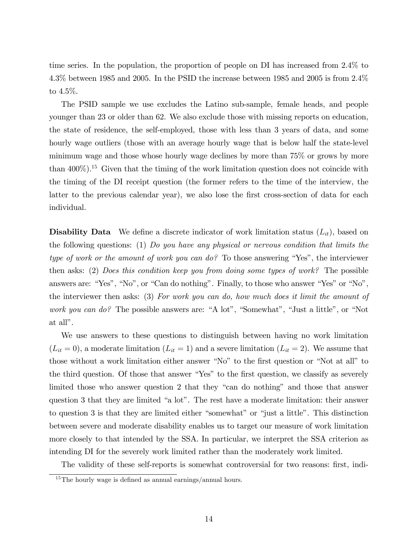time series. In the population, the proportion of people on DI has increased from 2.4% to 4.3% between 1985 and 2005. In the PSID the increase between 1985 and 2005 is from 2.4% to 4.5%.

The PSID sample we use excludes the Latino sub-sample, female heads, and people younger than 23 or older than 62. We also exclude those with missing reports on education, the state of residence, the self-employed, those with less than 3 years of data, and some hourly wage outliers (those with an average hourly wage that is below half the state-level minimum wage and those whose hourly wage declines by more than 75% or grows by more than  $400\%$ ).<sup>15</sup> Given that the timing of the work limitation question does not coincide with the timing of the DI receipt question (the former refers to the time of the interview, the latter to the previous calendar year), we also lose the first cross-section of data for each individual.

**Disability Data** We define a discrete indicator of work limitation status  $(L_{it})$ , based on the following questions: (1) Do you have any physical or nervous condition that limits the type of work or the amount of work you can do? To those answering "Yes", the interviewer then asks: (2) Does this condition keep you from doing some types of work? The possible answers are: "Yes", "No", or "Can do nothing". Finally, to those who answer "Yes" or "No", the interviewer then asks: (3) For work you can do, how much does it limit the amount of work you can do? The possible answers are: "A lot", "Somewhat", "Just a little", or "Not at all".

We use answers to these questions to distinguish between having no work limitation  $(L_{it} = 0)$ , a moderate limitation  $(L_{it} = 1)$  and a severe limitation  $(L_{it} = 2)$ . We assume that those without a work limitation either answer "No" to the first question or "Not at all" to the third question. Of those that answer "Yes" to the first question, we classify as severely limited those who answer question 2 that they  $\degree$ can do nothing $\degree$  and those that answer question 3 that they are limited "a lot". The rest have a moderate limitation: their answer to question 3 is that they are limited either "somewhat" or "just a little". This distinction between severe and moderate disability enables us to target our measure of work limitation more closely to that intended by the SSA. In particular, we interpret the SSA criterion as intending DI for the severely work limited rather than the moderately work limited.

The validity of these self-reports is somewhat controversial for two reasons: first, indi-

 $15$ The hourly wage is defined as annual earnings/annual hours.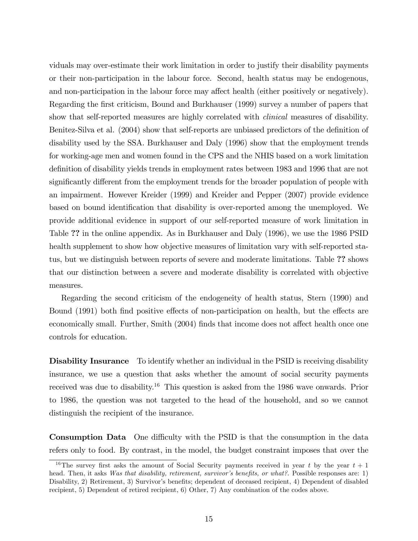viduals may over-estimate their work limitation in order to justify their disability payments or their non-participation in the labour force. Second, health status may be endogenous, and non-participation in the labour force may affect health (either positively or negatively). Regarding the Örst criticism, Bound and Burkhauser (1999) survey a number of papers that show that self-reported measures are highly correlated with clinical measures of disability. Benitez-Silva et al. (2004) show that self-reports are unbiased predictors of the definition of disability used by the SSA. Burkhauser and Daly (1996) show that the employment trends for working-age men and women found in the CPS and the NHIS based on a work limitation definition of disability yields trends in employment rates between 1983 and 1996 that are not significantly different from the employment trends for the broader population of people with an impairment. However Kreider (1999) and Kreider and Pepper (2007) provide evidence based on bound identification that disability is over-reported among the unemployed. We provide additional evidence in support of our self-reported measure of work limitation in Table ?? in the online appendix. As in Burkhauser and Daly (1996), we use the 1986 PSID health supplement to show how objective measures of limitation vary with self-reported status, but we distinguish between reports of severe and moderate limitations. Table ?? shows that our distinction between a severe and moderate disability is correlated with objective measures.

Regarding the second criticism of the endogeneity of health status, Stern (1990) and Bound (1991) both find positive effects of non-participation on health, but the effects are economically small. Further, Smith (2004) finds that income does not affect health once one controls for education.

Disability Insurance To identify whether an individual in the PSID is receiving disability insurance, we use a question that asks whether the amount of social security payments received was due to disability.<sup>16</sup> This question is asked from the 1986 wave onwards. Prior to 1986, the question was not targeted to the head of the household, and so we cannot distinguish the recipient of the insurance.

**Consumption Data** One difficulty with the PSID is that the consumption in the data refers only to food. By contrast, in the model, the budget constraint imposes that over the

<sup>&</sup>lt;sup>16</sup>The survey first asks the amount of Social Security payments received in year t by the year  $t + 1$ head. Then, it asks Was that disability, retirement, survivor's benefits, or what?. Possible responses are: 1) Disability, 2) Retirement, 3) Survivor's benefits; dependent of deceased recipient, 4) Dependent of disabled recipient, 5) Dependent of retired recipient, 6) Other, 7) Any combination of the codes above.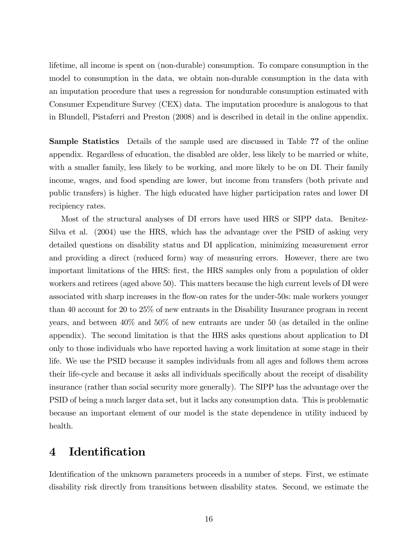lifetime, all income is spent on (non-durable) consumption. To compare consumption in the model to consumption in the data, we obtain non-durable consumption in the data with an imputation procedure that uses a regression for nondurable consumption estimated with Consumer Expenditure Survey (CEX) data. The imputation procedure is analogous to that in Blundell, Pistaferri and Preston (2008) and is described in detail in the online appendix.

Sample Statistics Details of the sample used are discussed in Table ?? of the online appendix. Regardless of education, the disabled are older, less likely to be married or white, with a smaller family, less likely to be working, and more likely to be on DI. Their family income, wages, and food spending are lower, but income from transfers (both private and public transfers) is higher. The high educated have higher participation rates and lower DI recipiency rates.

Most of the structural analyses of DI errors have used HRS or SIPP data. Benitez-Silva et al. (2004) use the HRS, which has the advantage over the PSID of asking very detailed questions on disability status and DI application, minimizing measurement error and providing a direct (reduced form) way of measuring errors. However, there are two important limitations of the HRS: first, the HRS samples only from a population of older workers and retirees (aged above 50). This matters because the high current levels of DI were associated with sharp increases in the flow-on rates for the under-50s: male workers younger than 40 account for 20 to 25% of new entrants in the Disability Insurance program in recent years, and between 40% and 50% of new entrants are under 50 (as detailed in the online appendix). The second limitation is that the HRS asks questions about application to DI only to those individuals who have reported having a work limitation at some stage in their life. We use the PSID because it samples individuals from all ages and follows them across their life-cycle and because it asks all individuals specifically about the receipt of disability insurance (rather than social security more generally). The SIPP has the advantage over the PSID of being a much larger data set, but it lacks any consumption data. This is problematic because an important element of our model is the state dependence in utility induced by health.

# 4 Identification

Identification of the unknown parameters proceeds in a number of steps. First, we estimate disability risk directly from transitions between disability states. Second, we estimate the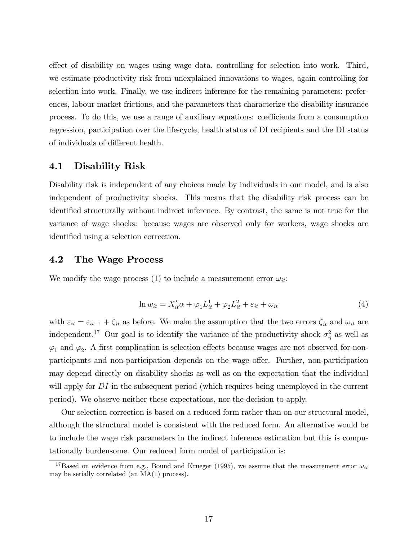effect of disability on wages using wage data, controlling for selection into work. Third, we estimate productivity risk from unexplained innovations to wages, again controlling for selection into work. Finally, we use indirect inference for the remaining parameters: preferences, labour market frictions, and the parameters that characterize the disability insurance process. To do this, we use a range of auxiliary equations: coefficients from a consumption regression, participation over the life-cycle, health status of DI recipients and the DI status of individuals of different health.

### 4.1 Disability Risk

Disability risk is independent of any choices made by individuals in our model, and is also independent of productivity shocks. This means that the disability risk process can be identified structurally without indirect inference. By contrast, the same is not true for the variance of wage shocks: because wages are observed only for workers, wage shocks are identified using a selection correction.

### 4.2 The Wage Process

We modify the wage process (1) to include a measurement error  $\omega_{it}$ :

$$
\ln w_{it} = X'_{it}\alpha + \varphi_1 L_{it}^1 + \varphi_2 L_{it}^2 + \varepsilon_{it} + \omega_{it}
$$
\n<sup>(4)</sup>

with  $\varepsilon_{it} = \varepsilon_{it-1} + \zeta_{it}$  as before. We make the assumption that the two errors  $\zeta_{it}$  and  $\omega_{it}$  are independent.<sup>17</sup> Our goal is to identify the variance of the productivity shock  $\sigma_{\eta}^2$  as well as  $\varphi_1$  and  $\varphi_2$ . A first complication is selection effects because wages are not observed for nonparticipants and non-participation depends on the wage offer. Further, non-participation may depend directly on disability shocks as well as on the expectation that the individual will apply for DI in the subsequent period (which requires being unemployed in the current period). We observe neither these expectations, nor the decision to apply.

Our selection correction is based on a reduced form rather than on our structural model, although the structural model is consistent with the reduced form. An alternative would be to include the wage risk parameters in the indirect inference estimation but this is computationally burdensome. Our reduced form model of participation is:

<sup>&</sup>lt;sup>17</sup>Based on evidence from e.g., Bound and Krueger (1995), we assume that the measurement error  $\omega_{it}$ may be serially correlated (an MA(1) process).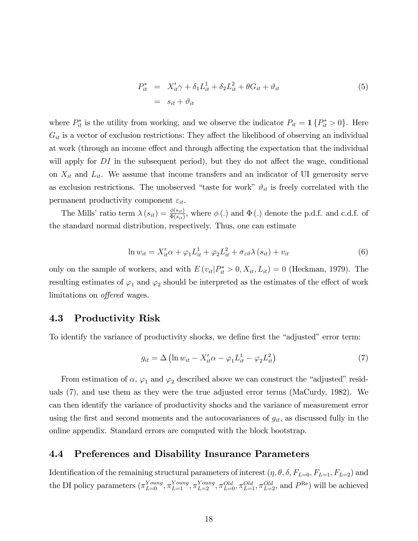$$
P_{it}^* = X_{it}'\gamma + \delta_1 L_{it}^1 + \delta_2 L_{it}^2 + \theta G_{it} + \vartheta_{it}
$$
  

$$
= s_{it} + \vartheta_{it}
$$
 (5)

where  $P_{it}^*$  is the utility from working, and we observe the indicator  $P_{it} = \mathbf{1} \{P_{it}^* > 0\}$ . Here  $G_{it}$  is a vector of exclusion restrictions: They affect the likelihood of observing an individual at work (through an income effect and through affecting the expectation that the individual will apply for DI in the subsequent period), but they do not affect the wage, conditional on  $X_{it}$  and  $L_{it}$ . We assume that income transfers and an indicator of UI generosity serve as exclusion restrictions. The unobserved "taste for work"  $\vartheta_{it}$  is freely correlated with the permanent productivity component  $\varepsilon_{it}$ .

The Mills' ratio term  $\lambda(s_{it}) = \frac{\phi(s_{it})}{\Phi(s_{it})}$ , where  $\phi(.)$  and  $\Phi(.)$  denote the p.d.f. and c.d.f. of the standard normal distribution, respectively. Thus, one can estimate

$$
\ln w_{it} = X'_{it}\alpha + \varphi_1 L_{it}^1 + \varphi_2 L_{it}^2 + \sigma_{\varepsilon\vartheta}\lambda(s_{it}) + v_{it}
$$
\n<sup>(6)</sup>

only on the sample of workers, and with  $E(v_{it}|P_{it}^* > 0, X_{it}, L_{it}) = 0$  (Heckman, 1979). The resulting estimates of  $\varphi_1$  and  $\varphi_2$  should be interpreted as the estimates of the effect of work limitations on *offered* wages.

#### 4.3 **Productivity Risk**

To identify the variance of productivity shocks, we define first the "adjusted" error term:

$$
g_{it} = \Delta \left( \ln w_{it} - X_{it}' \alpha - \varphi_1 L_{it}^1 - \varphi_2 L_{it}^2 \right) \tag{7}
$$

From estimation of  $\alpha$ ,  $\varphi_1$  and  $\varphi_2$  described above we can construct the "adjusted" residuals (7), and use them as they were the true adjusted error terms (MaCurdy, 1982). We can then identify the variance of productivity shocks and the variance of measurement error using the first and second moments and the autocovariances of  $g_{it}$ , as discussed fully in the online appendix. Standard errors are computed with the block bootstrap.

#### 4.4 Preferences and Disability Insurance Parameters

Identification of the remaining structural parameters of interest  $(\eta, \theta, \delta, F_{L=0}, F_{L=1}, F_{L=2})$  and the DI policy parameters  $(\pi_{L=0}^{Young}, \pi_{L=1}^{Young}, \pi_{L=2}^{Young}, \pi_{L=0}^{Old}, \pi_{L=1}^{Old}, \pi_{L=2}^{Old},$  and  $P^{\text{Re}})$  will be achieved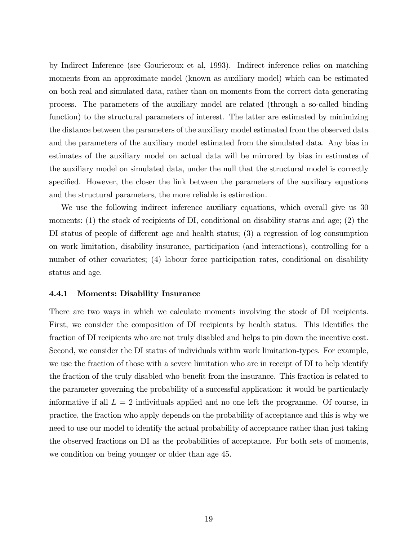by Indirect Inference (see Gourieroux et al, 1993). Indirect inference relies on matching moments from an approximate model (known as auxiliary model) which can be estimated on both real and simulated data, rather than on moments from the correct data generating process. The parameters of the auxiliary model are related (through a so-called binding function) to the structural parameters of interest. The latter are estimated by minimizing the distance between the parameters of the auxiliary model estimated from the observed data and the parameters of the auxiliary model estimated from the simulated data. Any bias in estimates of the auxiliary model on actual data will be mirrored by bias in estimates of the auxiliary model on simulated data, under the null that the structural model is correctly specified. However, the closer the link between the parameters of the auxiliary equations and the structural parameters, the more reliable is estimation.

We use the following indirect inference auxiliary equations, which overall give us 30 moments: (1) the stock of recipients of DI, conditional on disability status and age; (2) the DI status of people of different age and health status;  $(3)$  a regression of log consumption on work limitation, disability insurance, participation (and interactions), controlling for a number of other covariates; (4) labour force participation rates, conditional on disability status and age.

#### 4.4.1 Moments: Disability Insurance

There are two ways in which we calculate moments involving the stock of DI recipients. First, we consider the composition of DI recipients by health status. This identifies the fraction of DI recipients who are not truly disabled and helps to pin down the incentive cost. Second, we consider the DI status of individuals within work limitation-types. For example, we use the fraction of those with a severe limitation who are in receipt of DI to help identify the fraction of the truly disabled who benefit from the insurance. This fraction is related to the parameter governing the probability of a successful application: it would be particularly informative if all  $L = 2$  individuals applied and no one left the programme. Of course, in practice, the fraction who apply depends on the probability of acceptance and this is why we need to use our model to identify the actual probability of acceptance rather than just taking the observed fractions on DI as the probabilities of acceptance. For both sets of moments, we condition on being younger or older than age 45.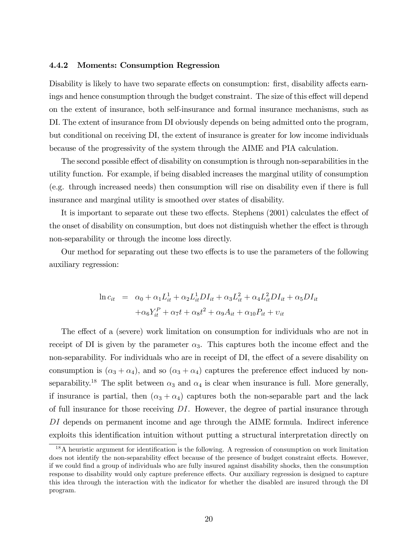### 4.4.2 Moments: Consumption Regression

Disability is likely to have two separate effects on consumption: first, disability affects earnings and hence consumption through the budget constraint. The size of this effect will depend on the extent of insurance, both self-insurance and formal insurance mechanisms, such as DI. The extent of insurance from DI obviously depends on being admitted onto the program, but conditional on receiving DI, the extent of insurance is greater for low income individuals because of the progressivity of the system through the AIME and PIA calculation.

The second possible effect of disability on consumption is through non-separabilities in the utility function. For example, if being disabled increases the marginal utility of consumption (e.g. through increased needs) then consumption will rise on disability even if there is full insurance and marginal utility is smoothed over states of disability.

It is important to separate out these two effects. Stephens (2001) calculates the effect of the onset of disability on consumption, but does not distinguish whether the effect is through non-separability or through the income loss directly.

Our method for separating out these two effects is to use the parameters of the following auxiliary regression:

$$
\ln c_{it} = \alpha_0 + \alpha_1 L_{it}^1 + \alpha_2 L_{it}^1 DI_{it} + \alpha_3 L_{it}^2 + \alpha_4 L_{it}^2 DI_{it} + \alpha_5 DI_{it}
$$

$$
+ \alpha_6 Y_{it}^P + \alpha_7 t + \alpha_8 t^2 + \alpha_9 A_{it} + \alpha_{10} P_{it} + \nu_{it}
$$

The effect of a (severe) work limitation on consumption for individuals who are not in receipt of DI is given by the parameter  $\alpha_3$ . This captures both the income effect and the non-separability. For individuals who are in receipt of DI, the effect of a severe disability on consumption is  $(\alpha_3 + \alpha_4)$ , and so  $(\alpha_3 + \alpha_4)$  captures the preference effect induced by nonseparability.<sup>18</sup> The split between  $\alpha_3$  and  $\alpha_4$  is clear when insurance is full. More generally, if insurance is partial, then  $(\alpha_3 + \alpha_4)$  captures both the non-separable part and the lack of full insurance for those receiving DI. However, the degree of partial insurance through DI depends on permanent income and age through the AIME formula. Indirect inference exploits this identification intuition without putting a structural interpretation directly on

<sup>&</sup>lt;sup>18</sup>A heuristic argument for identification is the following. A regression of consumption on work limitation does not identify the non-separability effect because of the presence of budget constraint effects. However, if we could Önd a group of individuals who are fully insured against disability shocks, then the consumption response to disability would only capture preference effects. Our auxiliary regression is designed to capture this idea through the interaction with the indicator for whether the disabled are insured through the DI program.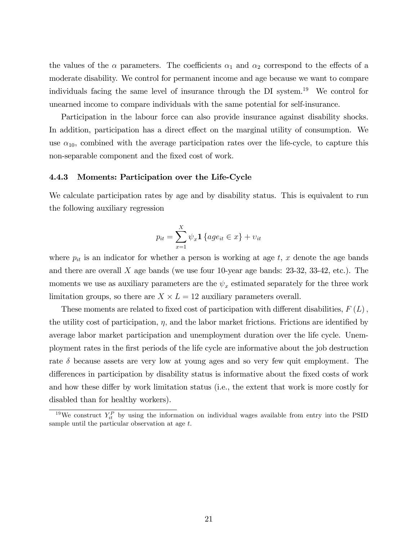the values of the  $\alpha$  parameters. The coefficients  $\alpha_1$  and  $\alpha_2$  correspond to the effects of a moderate disability. We control for permanent income and age because we want to compare individuals facing the same level of insurance through the DI system.<sup>19</sup> We control for unearned income to compare individuals with the same potential for self-insurance.

Participation in the labour force can also provide insurance against disability shocks. In addition, participation has a direct effect on the marginal utility of consumption. We use  $\alpha_{10}$ , combined with the average participation rates over the life-cycle, to capture this non-separable component and the fixed cost of work.

#### 4.4.3 Moments: Participation over the Life-Cycle

We calculate participation rates by age and by disability status. This is equivalent to run the following auxiliary regression

$$
p_{it} = \sum_{x=1}^{X} \psi_x \mathbf{1} \{ age_{it} \in x \} + v_{it}
$$

where  $p_{it}$  is an indicator for whether a person is working at age  $t, x$  denote the age bands and there are overall X age bands (we use four 10-year age bands: 23-32, 33-42, etc.). The moments we use as auxiliary parameters are the  $\psi_x$  estimated separately for the three work limitation groups, so there are  $X \times L = 12$  auxiliary parameters overall.

These moments are related to fixed cost of participation with different disabilities,  $F(L)$ , the utility cost of participation,  $\eta$ , and the labor market frictions. Frictions are identified by average labor market participation and unemployment duration over the life cycle. Unemployment rates in the Örst periods of the life cycle are informative about the job destruction rate  $\delta$  because assets are very low at young ages and so very few quit employment. The differences in participation by disability status is informative about the fixed costs of work and how these differ by work limitation status (i.e., the extent that work is more costly for disabled than for healthy workers).

<sup>&</sup>lt;sup>19</sup>We construct  $Y_{it}^P$  by using the information on individual wages available from entry into the PSID sample until the particular observation at age t.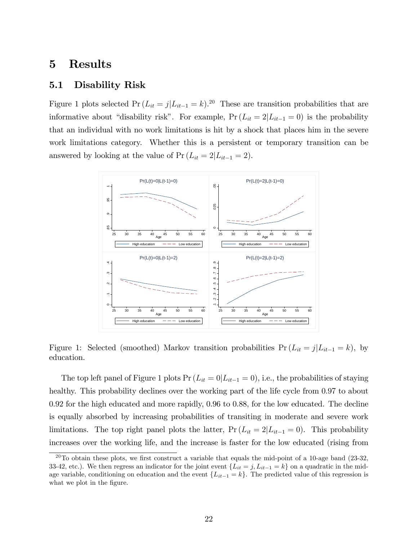# 5 Results

### 5.1 Disability Risk

Figure 1 plots selected  $Pr(L_{it} = j | L_{it-1} = k)$ .<sup>20</sup> These are transition probabilities that are informative about "disability risk". For example,  $Pr(L_{it} = 2|L_{it-1} = 0)$  is the probability that an individual with no work limitations is hit by a shock that places him in the severe work limitations category. Whether this is a persistent or temporary transition can be answered by looking at the value of  $Pr(L_{it} = 2|L_{it-1} = 2)$ .



Figure 1: Selected (smoothed) Markov transition probabilities  $Pr(L_{it} = j | L_{it-1} = k)$ , by education.

The top left panel of Figure 1 plots  $Pr(L_{it} = 0|L_{it-1} = 0)$ , i.e., the probabilities of staying healthy. This probability declines over the working part of the life cycle from 0.97 to about 0.92 for the high educated and more rapidly, 0.96 to 0.88, for the low educated. The decline is equally absorbed by increasing probabilities of transiting in moderate and severe work limitations. The top right panel plots the latter,  $Pr(L_{it} = 2|L_{it-1} = 0)$ . This probability increases over the working life, and the increase is faster for the low educated (rising from

 $20$ To obtain these plots, we first construct a variable that equals the mid-point of a 10-age band (23-32, 33-42, etc.). We then regress an indicator for the joint event  $\{L_{it} = j, L_{it-1} = k\}$  on a quadratic in the midage variable, conditioning on education and the event  $\{L_{it-1} = k\}$ . The predicted value of this regression is what we plot in the figure.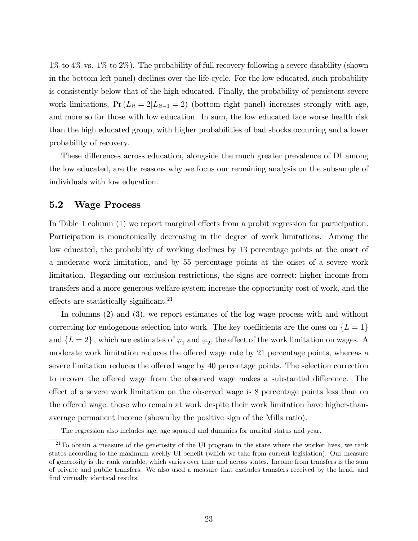$1\%$  to  $4\%$  vs.  $1\%$  to  $2\%$ ). The probability of full recovery following a severe disability (shown in the bottom left panel) declines over the life-cycle. For the low educated, such probability is consistently below that of the high educated. Finally, the probability of persistent severe work limitations,  $Pr(L_{it} = 2|L_{it-1} = 2)$  (bottom right panel) increases strongly with age, and more so for those with low education. In sum, the low educated face worse health risk than the high educated group, with higher probabilities of bad shocks occurring and a lower probability of recovery.

These differences across education, alongside the much greater prevalence of DI among the low educated, are the reasons why we focus our remaining analysis on the subsample of individuals with low education.

### 5.2 Wage Process

In Table 1 column  $(1)$  we report marginal effects from a probit regression for participation. Participation is monotonically decreasing in the degree of work limitations. Among the low educated, the probability of working declines by 13 percentage points at the onset of a moderate work limitation, and by 55 percentage points at the onset of a severe work limitation. Regarding our exclusion restrictions, the signs are correct: higher income from transfers and a more generous welfare system increase the opportunity cost of work, and the effects are statistically significant.<sup>21</sup>

In columns (2) and (3), we report estimates of the log wage process with and without correcting for endogenous selection into work. The key coefficients are the ones on  ${L = 1}$ and  $\{L=2\}$ , which are estimates of  $\varphi_1$  and  $\varphi_2$ , the effect of the work limitation on wages. A moderate work limitation reduces the offered wage rate by 21 percentage points, whereas a severe limitation reduces the offered wage by 40 percentage points. The selection correction to recover the offered wage from the observed wage makes a substantial difference. The effect of a severe work limitation on the observed wage is 8 percentage points less than on the offered wage: those who remain at work despite their work limitation have higher-thanaverage permanent income (shown by the positive sign of the Mills ratio).

The regression also includes age, age squared and dummies for marital status and year.

 $21$ To obtain a measure of the generosity of the UI program in the state where the worker lives, we rank states according to the maximum weekly UI benefit (which we take from current legislation). Our measure of generosity is the rank variable, which varies over time and across states. Income from transfers is the sum of private and public transfers. We also used a measure that excludes transfers received by the head, and find virtually identical results.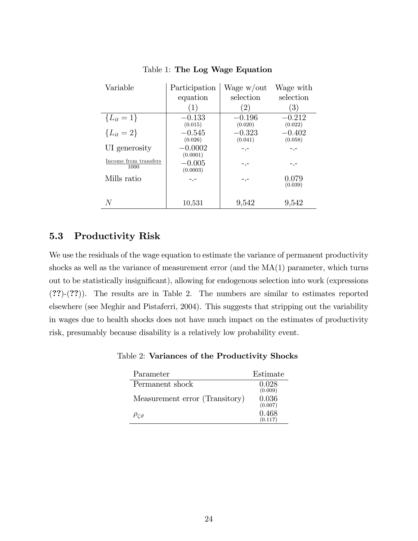| Variable                      | Participation         | Wage w/out          | Wage with           |
|-------------------------------|-----------------------|---------------------|---------------------|
|                               | equation              | selection           | selection           |
|                               | (1)                   | $\left( 2\right)$   | 3)                  |
| ${L_{it} = 1}$                | $-0.133$<br>(0.015)   | $-0.196$<br>(0.020) | $-0.212$<br>(0.022) |
| ${L_{it} = 2}$                | $-0.545$<br>(0.026)   | $-0.323$<br>(0.041) | $-0.402$<br>(0.058) |
| UI generosity                 | $-0.0002$<br>(0.0001) |                     |                     |
| Income from transfers<br>1000 | $-0.005$<br>(0.0003)  |                     |                     |
| Mills ratio                   |                       |                     | 0.079<br>(0.039)    |
| N                             | 10,531                | 9,542               | 9,542               |

Table 1: The Log Wage Equation

# 5.3 Productivity Risk

We use the residuals of the wage equation to estimate the variance of permanent productivity shocks as well as the variance of measurement error (and the  $MA(1)$  parameter, which turns out to be statistically insignificant), allowing for endogenous selection into work (expressions (??)-(??)). The results are in Table 2. The numbers are similar to estimates reported elsewhere (see Meghir and Pistaferri, 2004). This suggests that stripping out the variability in wages due to health shocks does not have much impact on the estimates of productivity risk, presumably because disability is a relatively low probability event.

Table 2: Variances of the Productivity Shocks

| Parameter                      | Estimate         |
|--------------------------------|------------------|
| Permanent shock                | 0.028<br>(0.009) |
| Measurement error (Transitory) | 0.036<br>(0.007) |
| $\rho_{\zeta \vartheta}$       | 0.468<br>(0.117) |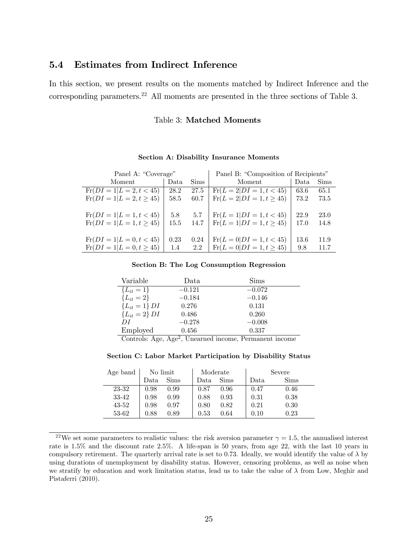#### **Estimates from Indirect Inference**  $5.4$

In this section, we present results on the moments matched by Indirect Inference and the corresponding parameters.<sup>22</sup> All moments are presented in the three sections of Table 3.

### Table 3: Matched Moments

| Panel A: "Coverage"           |      |      | Panel B: "Composition of Recipients" |      |      |
|-------------------------------|------|------|--------------------------------------|------|------|
| Moment                        | Data | Sims | Moment                               | Data | Sims |
| $Fr(DI = 1 L = 2, t < 45)$    | 28.2 | 27.5 | $Fr(L = 2 DI = 1, t < 45)$           | 63.6 | 65.1 |
| $Fr(DI = 1 L = 2, t \geq 45)$ | 58.5 | 60.7 | $Fr(L = 2 DI = 1, t \geq 45)$        | 73.2 | 73.5 |
|                               |      |      |                                      |      |      |
| $Fr(DI = 1 L = 1, t < 45)$    | 5.8  | 5.7  | $Fr(L = 1 DI = 1, t < 45)$           | 22.9 | 23.0 |
| $Fr(DI = 1 L = 1, t \geq 45)$ | 15.5 | 14.7 | $\text{Fr}(L = 1 DI = 1, t \geq 45)$ | 17.0 | 14.8 |
|                               |      |      |                                      |      |      |
| $Fr(DI = 1 L = 0, t < 45)$    | 0.23 | 0.24 | $\text{Fr}(L=0 DI=1,t<45)$           | 13.6 | 11.9 |
| $Fr(DI = 1 L = 0, t \geq 45)$ | 1.4  | 2.2  | $\text{Fr}(L = 0 DI = 1, t \geq 45)$ | 9.8  | 11.7 |

#### **Section A: Disability Insurance Moments**

#### Section B: The Log Consumption Regression

| Variable           | Data         | Sims     |
|--------------------|--------------|----------|
| ${L_{it} = 1}$     | $-0.121$     | $-0.072$ |
| ${L_{it} = 2}$     | $-0.184$     | $-0.146$ |
| ${L_{it} = 1} DI$  | 0.276        | 0.131    |
| ${L_{it} = 2} D I$ | 0.486        | 0.260    |
| DI                 | $-0.278$     | $-0.008$ |
| Employed           | 0.456<br>െ — | 0.337    |

Controls: Age, Age<sup>2</sup>, Unearned income, Permanent income

Section C: Labor Market Participation by Disability Status

| Age band  | No limit |             | Moderate |      | Severe |      |
|-----------|----------|-------------|----------|------|--------|------|
|           | Data     | <b>Sims</b> | Data     | Sims | Data   | Sims |
| 23-32     | 0.98     | 0.99        | 0.87     | 0.96 | 0.47   | 0.46 |
| 33-42     | 0.98     | 0.99        | 0.88     | 0.93 | 0.31   | 0.38 |
| $43 - 52$ | 0.98     | 0.97        | 0.80     | 0.82 | 0.21   | 0.30 |
| 53-62     | 0.88     | 0.89        | 0.53     | 0.64 |        | 0.23 |

<sup>&</sup>lt;sup>22</sup>We set some parameters to realistic values: the risk aversion parameter  $\gamma = 1.5$ , the annualised interest rate is 1.5% and the discount rate 2.5%. A life-span is 50 years, from age 22, with the last 10 years in compulsory retirement. The quarterly arrival rate is set to 0.73. Ideally, we would identify the value of  $\lambda$  by using durations of unemployment by disability status. However, censoring problems, as well as noise when we stratify by education and work limitation status, lead us to take the value of  $\lambda$  from Low, Meghir and Pistaferri (2010).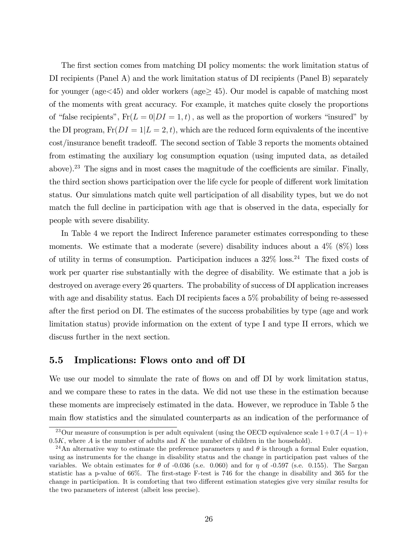The first section comes from matching DI policy moments: the work limitation status of DI recipients (Panel A) and the work limitation status of DI recipients (Panel B) separately for younger (age  $\lt 45$ ) and older workers (age  $\geq 45$ ). Our model is capable of matching most of the moments with great accuracy. For example, it matches quite closely the proportions of "false recipients",  $Fr(L = 0|DI = 1, t)$ , as well as the proportion of workers "insured" by the DI program,  $\text{Fr}(DI = 1|L = 2, t)$ , which are the reduced form equivalents of the incentive cost/insurance benefit tradeoff. The second section of Table 3 reports the moments obtained from estimating the auxiliary log consumption equation (using imputed data, as detailed above).<sup>23</sup> The signs and in most cases the magnitude of the coefficients are similar. Finally, the third section shows participation over the life cycle for people of different work limitation status. Our simulations match quite well participation of all disability types, but we do not match the full decline in participation with age that is observed in the data, especially for people with severe disability.

In Table 4 we report the Indirect Inference parameter estimates corresponding to these moments. We estimate that a moderate (severe) disability induces about a  $4\%$  (8%) loss of utility in terms of consumption. Participation induces a  $32\%$  loss.<sup>24</sup> The fixed costs of work per quarter rise substantially with the degree of disability. We estimate that a job is destroyed on average every 26 quarters. The probability of success of DI application increases with age and disability status. Each DI recipients faces a 5% probability of being re-assessed after the Örst period on DI. The estimates of the success probabilities by type (age and work limitation status) provide information on the extent of type I and type II errors, which we discuss further in the next section.

# 5.5 Implications: Flows onto and off DI

We use our model to simulate the rate of flows on and off DI by work limitation status, and we compare these to rates in the data. We did not use these in the estimation because these moments are imprecisely estimated in the data. However, we reproduce in Table 5 the main flow statistics and the simulated counterparts as an indication of the performance of

<sup>&</sup>lt;sup>23</sup>Our measure of consumption is per adult equivalent (using the OECD equivalence scale  $1+0.7(A-1)+$  $0.5K$ , where A is the number of adults and K the number of children in the household).

<sup>&</sup>lt;sup>24</sup>An alternative way to estimate the preference parameters  $\eta$  and  $\theta$  is through a formal Euler equation, using as instruments for the change in disability status and the change in participation past values of the variables. We obtain estimates for  $\theta$  of -0.036 (s.e. 0.060) and for  $\eta$  of -0.597 (s.e. 0.155). The Sargan statistic has a p-value of 66%. The first-stage F-test is 746 for the change in disability and 365 for the change in participation. It is comforting that two different estimation stategies give very similar results for the two parameters of interest (albeit less precise).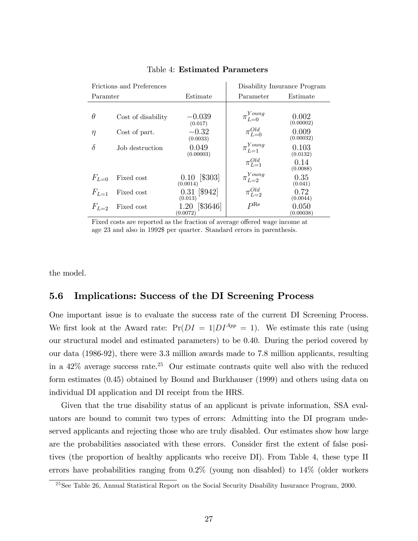| Frictions and Preferences |                    |                               | Disability Insurance Program |                    |  |
|---------------------------|--------------------|-------------------------------|------------------------------|--------------------|--|
| Paramter                  |                    | Estimate                      | Parameter                    | Estimate           |  |
|                           |                    |                               |                              |                    |  |
| $\theta$                  | Cost of disability | $-0.039$<br>(0.017)           | $\pi_{L=0}^{Young}$          | 0.002<br>(0.00002) |  |
| $\eta$                    | Cost of part.      | $-0.32$<br>(0.0033)           | $\pi_{L=0}^{Old}$            | 0.009<br>(0.00032) |  |
| $\delta$                  | Job destruction    | 0.049<br>(0.00003)            | $\pi_{L=1}^{Young}$          | 0.103<br>(0.0132)  |  |
|                           |                    |                               | $\pi_{L=1}^{Old}$            | 0.14<br>(0.0088)   |  |
| $F_{L=0}$                 | Fixed cost         | $[\$303]$<br>0.10<br>(0.0014) | $\pi_{L=2}^{Young}$          | 0.35<br>(0.041)    |  |
| $F_{L=1}$                 | Fixed cost         | $0.31$ [\$942]<br>(0.013)     | $\pi_{L=2}^{Old}$            | 0.72<br>(0.0044)   |  |
| $F_{L=2}$                 | Fixed cost         | [\$3646]<br>1.20<br>(0.0072)  | $P^{\rm Re}$                 | 0.050<br>(0.00038) |  |

### Table 4: Estimated Parameters

Fixed costs are reported as the fraction of average offered wage income at age 23 and also in 1992\$ per quarter. Standard errors in parenthesis.

the model.

# 5.6 Implications: Success of the DI Screening Process

One important issue is to evaluate the success rate of the current DI Screening Process. We first look at the Award rate:  $Pr(DI = 1|D I^{App} = 1)$ . We estimate this rate (using our structural model and estimated parameters) to be 0.40. During the period covered by our data (1986-92), there were 3.3 million awards made to 7.8 million applicants, resulting in a  $42\%$  average success rate.<sup>25</sup> Our estimate contrasts quite well also with the reduced form estimates (0.45) obtained by Bound and Burkhauser (1999) and others using data on individual DI application and DI receipt from the HRS.

Given that the true disability status of an applicant is private information, SSA evaluators are bound to commit two types of errors: Admitting into the DI program undeserved applicants and rejecting those who are truly disabled. Our estimates show how large are the probabilities associated with these errors. Consider first the extent of false positives (the proportion of healthy applicants who receive DI). From Table 4, these type II errors have probabilities ranging from 0.2% (young non disabled) to 14% (older workers

<sup>&</sup>lt;sup>25</sup>See Table 26, Annual Statistical Report on the Social Security Disability Insurance Program, 2000.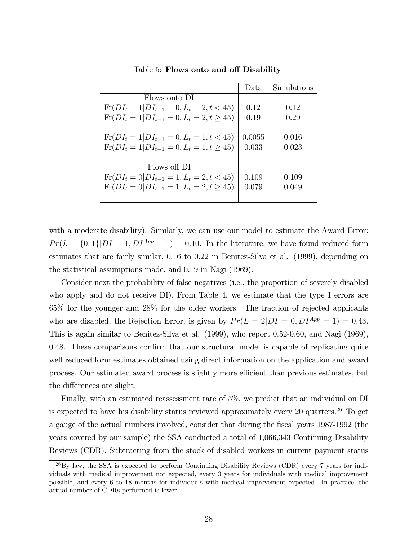|                                                        | Data.  | Simulations |
|--------------------------------------------------------|--------|-------------|
| Flows onto DI                                          |        |             |
| $\text{Fr}(DI_t = 1 DI_{t-1} = 0, L_t = 2, t < 45)$    | 0.12   | 0.12        |
| $\text{Fr}(DI_t = 1 DI_{t-1} = 0, L_t = 2, t \geq 45)$ | 0.19   | 0.29        |
| $\text{Fr}(DI_t = 1 DI_{t-1} = 0, L_t = 1, t < 45)$    | 0.0055 | 0.016       |
| $\text{Fr}(DI_t = 1 DI_{t-1} = 0, L_t = 1, t \geq 45)$ | 0.033  | 0.023       |
| Flows off DI                                           |        |             |
| $\text{Fr}(DI_t = 0 DI_{t-1} = 1, L_t = 2, t < 45)$    | 0.109  | 0.109       |
| $\text{Fr}(DI_t = 0 DI_{t-1} = 1, L_t = 2, t \geq 45)$ | 0.079  | 0.049       |
|                                                        |        |             |

Table 5: Flows onto and off Disability

with a moderate disability). Similarly, we can use our model to estimate the Award Error:  $Pr(L = \{0, 1\}|DI = 1, DI^{App} = 1) = 0.10$ . In the literature, we have found reduced form estimates that are fairly similar, 0.16 to 0.22 in Benitez-Silva et al. (1999), depending on the statistical assumptions made, and 0.19 in Nagi (1969).

Consider next the probability of false negatives (i.e., the proportion of severely disabled who apply and do not receive DI). From Table 4, we estimate that the type I errors are 65% for the younger and 28% for the older workers. The fraction of rejected applicants who are disabled, the Rejection Error, is given by  $Pr(L = 2|DI = 0, DI^{App} = 1) = 0.43$ . This is again similar to Benitez-Silva et al. (1999), who report 0.52-0.60, and Nagi (1969),  $0.48$ . These comparisons confirm that our structural model is capable of replicating quite well reduced form estimates obtained using direct information on the application and award process. Our estimated award process is slightly more efficient than previous estimates, but the differences are slight.

Finally, with an estimated reassessment rate of 5%, we predict that an individual on DI is expected to have his disability status reviewed approximately every  $20$  quarters.<sup>26</sup> To get a gauge of the actual numbers involved, consider that during the Öscal years 1987-1992 (the years covered by our sample) the SSA conducted a total of 1,066,343 Continuing Disability Reviews (CDR). Subtracting from the stock of disabled workers in current payment status

 $^{26}$ By law, the SSA is expected to perform Continuing Disability Reviews (CDR) every 7 years for individuals with medical improvement not expected, every 3 years for individuals with medical improvement possible, and every 6 to 18 months for individuals with medical improvement expected. In practice, the actual number of CDRs performed is lower.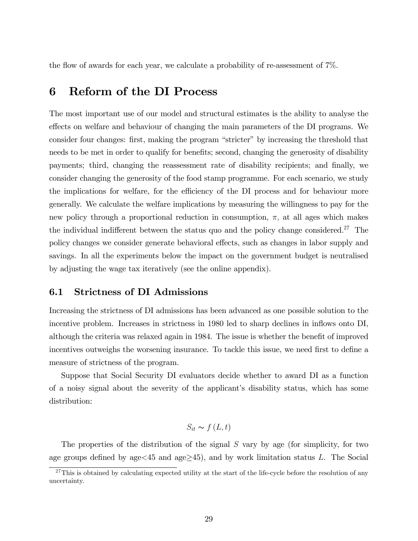the flow of awards for each year, we calculate a probability of re-assessment of  $7\%$ .

# 6 Reform of the DI Process

The most important use of our model and structural estimates is the ability to analyse the effects on welfare and behaviour of changing the main parameters of the DI programs. We consider four changes: first, making the program "stricter" by increasing the threshold that needs to be met in order to qualify for benefits; second, changing the generosity of disability payments; third, changing the reassessment rate of disability recipients; and finally, we consider changing the generosity of the food stamp programme. For each scenario, we study the implications for welfare, for the efficiency of the DI process and for behaviour more generally. We calculate the welfare implications by measuring the willingness to pay for the new policy through a proportional reduction in consumption,  $\pi$ , at all ages which makes the individual indifferent between the status quo and the policy change considered.<sup>27</sup> The policy changes we consider generate behavioral effects, such as changes in labor supply and savings. In all the experiments below the impact on the government budget is neutralised by adjusting the wage tax iteratively (see the online appendix).

# 6.1 Strictness of DI Admissions

Increasing the strictness of DI admissions has been advanced as one possible solution to the incentive problem. Increases in strictness in 1980 led to sharp declines in inflows onto DI, although the criteria was relaxed again in 1984. The issue is whether the benefit of improved incentives outweighs the worsening insurance. To tackle this issue, we need first to define a measure of strictness of the program.

Suppose that Social Security DI evaluators decide whether to award DI as a function of a noisy signal about the severity of the applicant's disability status, which has some distribution:

$$
S_{it} \sim f\left(L, t\right)
$$

The properties of the distribution of the signal S vary by age (for simplicity, for two age groups defined by age $\leq$ 45 and age $\geq$ 45), and by work limitation status L. The Social

 $^{27}$ This is obtained by calculating expected utility at the start of the life-cycle before the resolution of any uncertainty.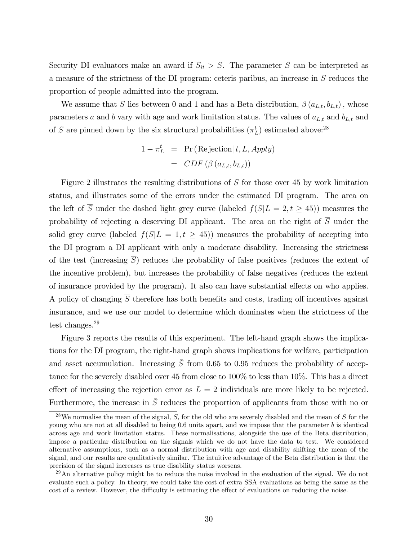Security DI evaluators make an award if  $S_{it} > \overline{S}$ . The parameter  $\overline{S}$  can be interpreted as a measure of the strictness of the DI program: ceteris paribus, an increase in  $\overline{S}$  reduces the proportion of people admitted into the program.

We assume that S lies between 0 and 1 and has a Beta distribution,  $\beta(a_{L,t}, b_{L,t})$ , whose parameters a and b vary with age and work limitation status. The values of  $a_{L,t}$  and  $b_{L,t}$  and of  $\overline{S}$  are pinned down by the six structural probabilities  $(\pi_L^t)$  estimated above:<sup>28</sup>

$$
1 - \pi_L^t = \Pr(\text{Rejection}|t, L, Apply) = CDF \left( \beta \left( a_{L,t}, b_{L,t} \right) \right)
$$

Figure 2 illustrates the resulting distributions of S for those over 45 by work limitation status, and illustrates some of the errors under the estimated DI program. The area on the left of  $\overline{S}$  under the dashed light grey curve (labeled  $f(S|L = 2, t \geq 45)$ ) measures the probability of rejecting a deserving DI applicant. The area on the right of  $\overline{S}$  under the solid grey curve (labeled  $f(S|L = 1, t \geq 45)$ ) measures the probability of accepting into the DI program a DI applicant with only a moderate disability. Increasing the strictness of the test (increasing  $\overline{S}$ ) reduces the probability of false positives (reduces the extent of the incentive problem), but increases the probability of false negatives (reduces the extent of insurance provided by the program). It also can have substantial effects on who applies. A policy of changing  $\overline{S}$  therefore has both benefits and costs, trading off incentives against insurance, and we use our model to determine which dominates when the strictness of the test changes.<sup>29</sup>

Figure 3 reports the results of this experiment. The left-hand graph shows the implications for the DI program, the right-hand graph shows implications for welfare, participation and asset accumulation. Increasing  $\overline{S}$  from 0.65 to 0.95 reduces the probability of acceptance for the severely disabled over 45 from close to 100% to less than 10%. This has a direct effect of increasing the rejection error as  $L = 2$  individuals are more likely to be rejected. Furthermore, the increase in  $\overline{S}$  reduces the proportion of applicants from those with no or

 $28$ We normalise the mean of the signal, S, for the old who are severely disabled and the mean of S for the young who are not at all disabled to being 0.6 units apart, and we impose that the parameter b is identical across age and work limitation status. These normalisations, alongside the use of the Beta distribution, impose a particular distribution on the signals which we do not have the data to test. We considered alternative assumptions, such as a normal distribution with age and disability shifting the mean of the signal, and our results are qualitatively similar. The intuitive advantage of the Beta distribution is that the precision of the signal increases as true disability status worsens.

 $^{29}$ An alternative policy might be to reduce the noise involved in the evaluation of the signal. We do not evaluate such a policy. In theory, we could take the cost of extra SSA evaluations as being the same as the cost of a review. However, the difficulty is estimating the effect of evaluations on reducing the noise.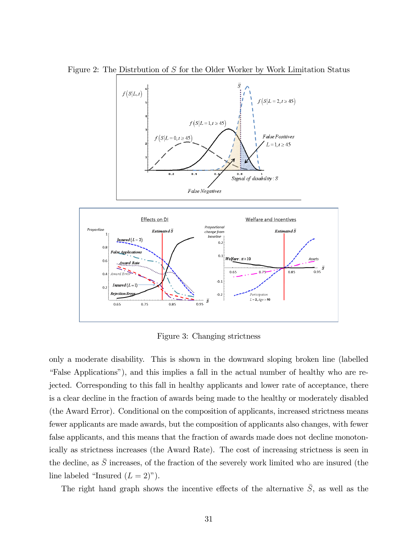

Figure 2: The Distrbution of S for the Older Worker by Work Limitation Status

Figure 3: Changing strictness

only a moderate disability. This is shown in the downward sloping broken line (labelled ìFalse Applicationsî), and this implies a fall in the actual number of healthy who are rejected. Corresponding to this fall in healthy applicants and lower rate of acceptance, there is a clear decline in the fraction of awards being made to the healthy or moderately disabled (the Award Error). Conditional on the composition of applicants, increased strictness means fewer applicants are made awards, but the composition of applicants also changes, with fewer false applicants, and this means that the fraction of awards made does not decline monotonically as strictness increases (the Award Rate). The cost of increasing strictness is seen in the decline, as  $\bar{S}$  increases, of the fraction of the severely work limited who are insured (the line labeled "Insured  $(L = 2)$ ").

The right hand graph shows the incentive effects of the alternative  $\bar{S}$ , as well as the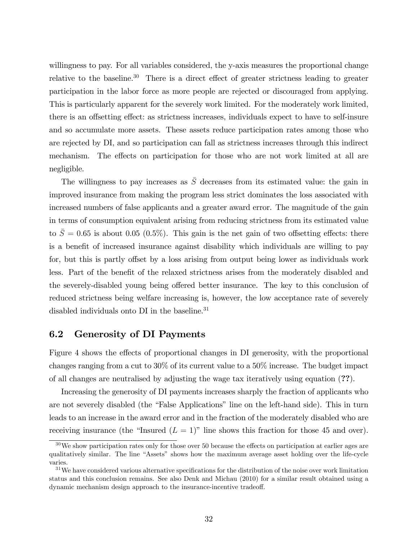willingness to pay. For all variables considered, the y-axis measures the proportional change relative to the baseline.<sup>30</sup> There is a direct effect of greater strictness leading to greater participation in the labor force as more people are rejected or discouraged from applying. This is particularly apparent for the severely work limited. For the moderately work limited, there is an offsetting effect: as strictness increases, individuals expect to have to self-insure and so accumulate more assets. These assets reduce participation rates among those who are rejected by DI, and so participation can fall as strictness increases through this indirect mechanism. The effects on participation for those who are not work limited at all are negligible.

The willingness to pay increases as  $\overline{S}$  decreases from its estimated value: the gain in improved insurance from making the program less strict dominates the loss associated with increased numbers of false applicants and a greater award error. The magnitude of the gain in terms of consumption equivalent arising from reducing strictness from its estimated value to  $\bar{S} = 0.65$  is about 0.05 (0.5%). This gain is the net gain of two offsetting effects: there is a benefit of increased insurance against disability which individuals are willing to pay for, but this is partly offset by a loss arising from output being lower as individuals work less. Part of the benefit of the relaxed strictness arises from the moderately disabled and the severely-disabled young being offered better insurance. The key to this conclusion of reduced strictness being welfare increasing is, however, the low acceptance rate of severely disabled individuals onto DI in the baseline.<sup>31</sup>

# 6.2 Generosity of DI Payments

Figure 4 shows the effects of proportional changes in DI generosity, with the proportional changes ranging from a cut to 30% of its current value to a 50% increase. The budget impact of all changes are neutralised by adjusting the wage tax iteratively using equation (??).

Increasing the generosity of DI payments increases sharply the fraction of applicants who are not severely disabled (the "False Applications" line on the left-hand side). This in turn leads to an increase in the award error and in the fraction of the moderately disabled who are receiving insurance (the "Insured  $(L = 1)$ " line shows this fraction for those 45 and over).

 $30\,\text{We}$  show participation rates only for those over 50 because the effects on participation at earlier ages are qualitatively similar. The line "Assets" shows how the maximum average asset holding over the life-cycle varies.

 $31$ We have considered various alternative specifications for the distribution of the noise over work limitation status and this conclusion remains. See also Denk and Michau (2010) for a similar result obtained using a dynamic mechanism design approach to the insurance-incentive tradeoff.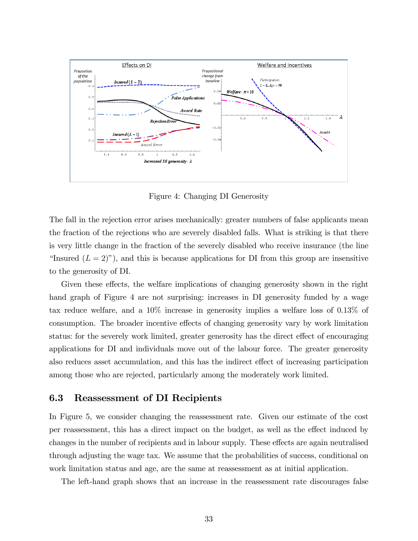

Figure 4: Changing DI Generosity

The fall in the rejection error arises mechanically: greater numbers of false applicants mean the fraction of the rejections who are severely disabled falls. What is striking is that there is very little change in the fraction of the severely disabled who receive insurance (the line "Insured  $(L = 2)$ "), and this is because applications for DI from this group are insensitive to the generosity of DI.

Given these effects, the welfare implications of changing generosity shown in the right hand graph of Figure 4 are not surprising: increases in DI generosity funded by a wage tax reduce welfare, and a 10% increase in generosity implies a welfare loss of 0.13% of consumption. The broader incentive effects of changing generosity vary by work limitation status: for the severely work limited, greater generosity has the direct effect of encouraging applications for DI and individuals move out of the labour force. The greater generosity also reduces asset accumulation, and this has the indirect effect of increasing participation among those who are rejected, particularly among the moderately work limited.

## 6.3 Reassessment of DI Recipients

In Figure 5, we consider changing the reassessment rate. Given our estimate of the cost per reassessment, this has a direct impact on the budget, as well as the effect induced by changes in the number of recipients and in labour supply. These effects are again neutralised through adjusting the wage tax. We assume that the probabilities of success, conditional on work limitation status and age, are the same at reassessment as at initial application.

The left-hand graph shows that an increase in the reassessment rate discourages false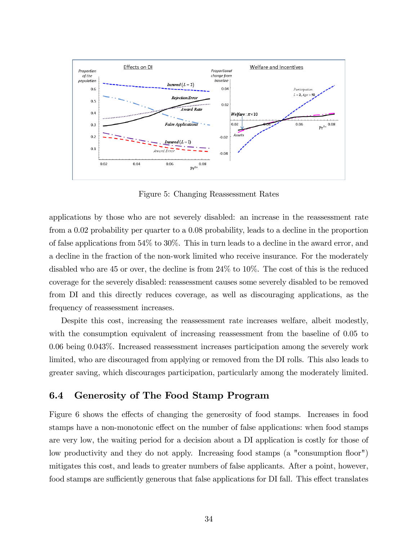

Figure 5: Changing Reassessment Rates

applications by those who are not severely disabled: an increase in the reassessment rate from a 0.02 probability per quarter to a 0.08 probability, leads to a decline in the proportion of false applications from 54% to 30%. This in turn leads to a decline in the award error, and a decline in the fraction of the non-work limited who receive insurance. For the moderately disabled who are 45 or over, the decline is from 24% to 10%. The cost of this is the reduced coverage for the severely disabled: reassessment causes some severely disabled to be removed from DI and this directly reduces coverage, as well as discouraging applications, as the frequency of reassessment increases.

Despite this cost, increasing the reassessment rate increases welfare, albeit modestly, with the consumption equivalent of increasing reassessment from the baseline of 0.05 to 0.06 being 0.043%. Increased reassessment increases participation among the severely work limited, who are discouraged from applying or removed from the DI rolls. This also leads to greater saving, which discourages participation, particularly among the moderately limited.

# 6.4 Generosity of The Food Stamp Program

Figure 6 shows the effects of changing the generosity of food stamps. Increases in food stamps have a non-monotonic effect on the number of false applications: when food stamps are very low, the waiting period for a decision about a DI application is costly for those of low productivity and they do not apply. Increasing food stamps (a "consumption áoor") mitigates this cost, and leads to greater numbers of false applicants. After a point, however, food stamps are sufficiently generous that false applications for DI fall. This effect translates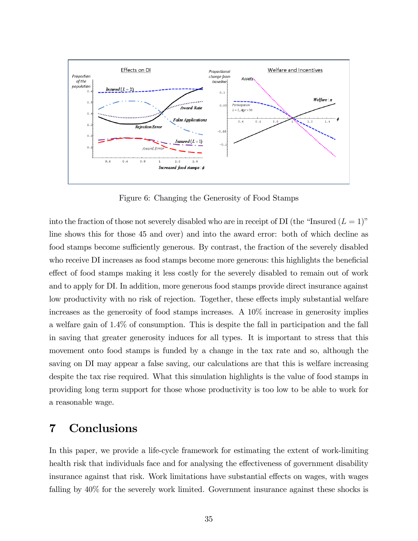

Figure 6: Changing the Generosity of Food Stamps

into the fraction of those not severely disabled who are in receipt of DI (the "Insured  $(L = 1)$ " line shows this for those 45 and over) and into the award error: both of which decline as food stamps become sufficiently generous. By contrast, the fraction of the severely disabled who receive DI increases as food stamps become more generous: this highlights the beneficial effect of food stamps making it less costly for the severely disabled to remain out of work and to apply for DI. In addition, more generous food stamps provide direct insurance against low productivity with no risk of rejection. Together, these effects imply substantial welfare increases as the generosity of food stamps increases. A 10% increase in generosity implies a welfare gain of 1.4% of consumption. This is despite the fall in participation and the fall in saving that greater generosity induces for all types. It is important to stress that this movement onto food stamps is funded by a change in the tax rate and so, although the saving on DI may appear a false saving, our calculations are that this is welfare increasing despite the tax rise required. What this simulation highlights is the value of food stamps in providing long term support for those whose productivity is too low to be able to work for a reasonable wage.

# 7 Conclusions

In this paper, we provide a life-cycle framework for estimating the extent of work-limiting health risk that individuals face and for analysing the effectiveness of government disability insurance against that risk. Work limitations have substantial effects on wages, with wages falling by 40% for the severely work limited. Government insurance against these shocks is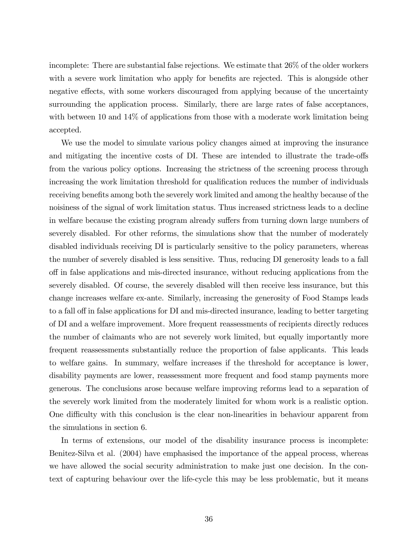incomplete: There are substantial false rejections. We estimate that 26% of the older workers with a severe work limitation who apply for benefits are rejected. This is alongside other negative effects, with some workers discouraged from applying because of the uncertainty surrounding the application process. Similarly, there are large rates of false acceptances, with between 10 and 14% of applications from those with a moderate work limitation being accepted.

We use the model to simulate various policy changes aimed at improving the insurance and mitigating the incentive costs of DI. These are intended to illustrate the trade-offs from the various policy options. Increasing the strictness of the screening process through increasing the work limitation threshold for qualification reduces the number of individuals receiving benefits among both the severely work limited and among the healthy because of the noisiness of the signal of work limitation status. Thus increased strictness leads to a decline in welfare because the existing program already suffers from turning down large numbers of severely disabled. For other reforms, the simulations show that the number of moderately disabled individuals receiving DI is particularly sensitive to the policy parameters, whereas the number of severely disabled is less sensitive. Thus, reducing DI generosity leads to a fall o§ in false applications and mis-directed insurance, without reducing applications from the severely disabled. Of course, the severely disabled will then receive less insurance, but this change increases welfare ex-ante. Similarly, increasing the generosity of Food Stamps leads to a fall off in false applications for DI and mis-directed insurance, leading to better targeting of DI and a welfare improvement. More frequent reassessments of recipients directly reduces the number of claimants who are not severely work limited, but equally importantly more frequent reassessments substantially reduce the proportion of false applicants. This leads to welfare gains. In summary, welfare increases if the threshold for acceptance is lower, disability payments are lower, reassessment more frequent and food stamp payments more generous. The conclusions arose because welfare improving reforms lead to a separation of the severely work limited from the moderately limited for whom work is a realistic option. One difficulty with this conclusion is the clear non-linearities in behaviour apparent from the simulations in section 6.

In terms of extensions, our model of the disability insurance process is incomplete: Benitez-Silva et al. (2004) have emphasised the importance of the appeal process, whereas we have allowed the social security administration to make just one decision. In the context of capturing behaviour over the life-cycle this may be less problematic, but it means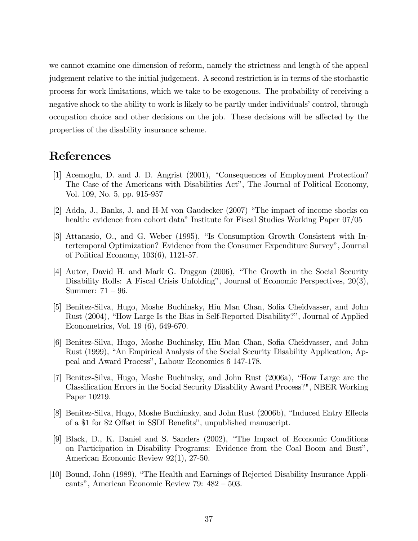we cannot examine one dimension of reform, namely the strictness and length of the appeal judgement relative to the initial judgement. A second restriction is in terms of the stochastic process for work limitations, which we take to be exogenous. The probability of receiving a negative shock to the ability to work is likely to be partly under individuals' control, through occupation choice and other decisions on the job. These decisions will be affected by the properties of the disability insurance scheme.

# References

- [1] Acemoglu, D. and J. D. Angrist (2001), "Consequences of Employment Protection? The Case of the Americans with Disabilities Act", The Journal of Political Economy, Vol. 109, No. 5, pp. 915-957
- [2] Adda, J., Banks, J. and H-M von Gaudecker (2007) "The impact of income shocks on health: evidence from cohort data" Institute for Fiscal Studies Working Paper 07/05
- [3] Attanasio, O., and G. Weber (1995), "Is Consumption Growth Consistent with Intertemporal Optimization? Evidence from the Consumer Expenditure Survey", Journal of Political Economy, 103(6), 1121-57.
- [4] Autor, David H. and Mark G. Duggan (2006), "The Growth in the Social Security Disability Rolls: A Fiscal Crisis Unfolding", Journal of Economic Perspectives, 20(3), Summer: 71 – 96.
- [5] Benitez-Silva, Hugo, Moshe Buchinsky, Hiu Man Chan, Sofia Cheidvasser, and John Rust (2004), "How Large Is the Bias in Self-Reported Disability?", Journal of Applied Econometrics, Vol. 19 (6), 649-670.
- [6] Benitez-Silva, Hugo, Moshe Buchinsky, Hiu Man Chan, Sofia Cheidvasser, and John Rust (1999), "An Empirical Analysis of the Social Security Disability Application, Appeal and Award Process", Labour Economics 6 147-178.
- [7] Benitez-Silva, Hugo, Moshe Buchinsky, and John Rust (2006a), "How Large are the Classification Errors in the Social Security Disability Award Process?", NBER Working Paper 10219.
- [8] Benitez-Silva, Hugo, Moshe Buchinsky, and John Rust (2006b), "Induced Entry Effects of a \$1 for \$2 Offset in SSDI Benefits", unpublished manuscript.
- [9] Black, D., K. Daniel and S. Sanders (2002), "The Impact of Economic Conditions on Participation in Disability Programs: Evidence from the Coal Boom and Bust", American Economic Review 92(1), 27-50.
- [10] Bound, John (1989), "The Health and Earnings of Rejected Disability Insurance Applicants", American Economic Review 79: 482 – 503.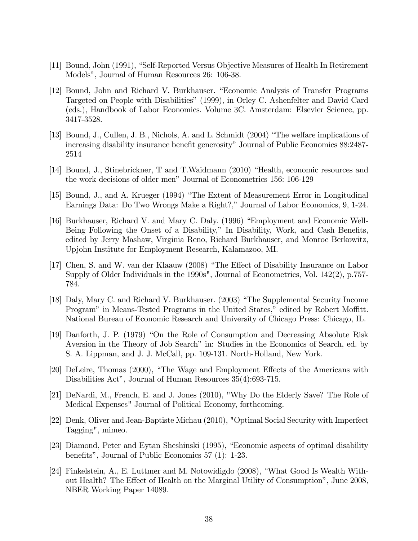- [11] Bound, John (1991), "Self-Reported Versus Objective Measures of Health In Retirement Models", Journal of Human Resources 26: 106-38.
- [12] Bound, John and Richard V. Burkhauser. "Economic Analysis of Transfer Programs Targeted on People with Disabilities" (1999), in Orley C. Ashenfelter and David Card (eds.), Handbook of Labor Economics. Volume 3C. Amsterdam: Elsevier Science, pp. 3417-3528.
- [13] Bound, J., Cullen, J. B., Nichols, A. and L. Schmidt (2004) "The welfare implications of increasing disability insurance benefit generosity" Journal of Public Economics 88:2487-2514
- [14] Bound, J., Stinebrickner, T and T.Waidmann (2010) "Health, economic resources and the work decisions of older men" Journal of Econometrics 156: 106-129
- [15] Bound, J., and A. Krueger (1994) "The Extent of Measurement Error in Longitudinal Earnings Data: Do Two Wrongs Make a Right?," Journal of Labor Economics, 9, 1-24.
- [16] Burkhauser, Richard V. and Mary C. Daly. (1996) "Employment and Economic Well-Being Following the Onset of a Disability," In Disability, Work, and Cash Benefits, edited by Jerry Mashaw, Virginia Reno, Richard Burkhauser, and Monroe Berkowitz, Upjohn Institute for Employment Research, Kalamazoo, MI.
- [17] Chen, S. and W. van der Klaauw (2008) "The Effect of Disability Insurance on Labor Supply of Older Individuals in the 1990s", Journal of Econometrics, Vol. 142(2), p.757-784.
- [18] Daly, Mary C. and Richard V. Burkhauser. (2003) "The Supplemental Security Income Program" in Means-Tested Programs in the United States," edited by Robert Moffitt. National Bureau of Economic Research and University of Chicago Press: Chicago, IL.
- [19] Danforth, J. P. (1979) "On the Role of Consumption and Decreasing Absolute Risk Aversion in the Theory of Job Search" in: Studies in the Economics of Search, ed. by S. A. Lippman, and J. J. McCall, pp. 109-131. North-Holland, New York.
- [20] DeLeire, Thomas (2000), "The Wage and Employment Effects of the Americans with Disabilities Act", Journal of Human Resources  $35(4):693-715$ .
- [21] DeNardi, M., French, E. and J. Jones (2010), "Why Do the Elderly Save? The Role of Medical Expenses" Journal of Political Economy, forthcoming.
- [22] Denk, Oliver and Jean-Baptiste Michau (2010), "Optimal Social Security with Imperfect Tagging", mimeo.
- [23] Diamond, Peter and Eytan Sheshinski (1995), "Economic aspects of optimal disability benefits", Journal of Public Economics  $57(1)$ : 1-23.
- [24] Finkelstein, A., E. Luttmer and M. Notowidigdo (2008), "What Good Is Wealth Without Health? The Effect of Health on the Marginal Utility of Consumption", June 2008, NBER Working Paper 14089.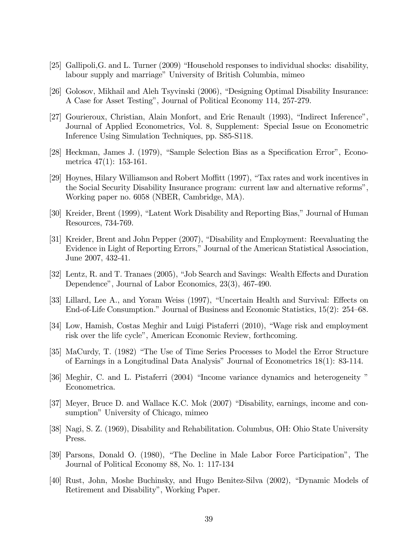- [25] Gallipoli, G. and L. Turner (2009) "Household responses to individual shocks: disability, labour supply and marriage" University of British Columbia, mimeo
- [26] Golosov, Mikhail and Aleh Tsyvinski (2006), "Designing Optimal Disability Insurance: A Case for Asset Testing", Journal of Political Economy 114, 257-279.
- [27] Gourieroux, Christian, Alain Monfort, and Eric Renault (1993), "Indirect Inference", Journal of Applied Econometrics, Vol. 8, Supplement: Special Issue on Econometric Inference Using Simulation Techniques, pp. S85-S118.
- [28] Heckman, James J. (1979), "Sample Selection Bias as a Specification Error", Econometrica  $47(1)$ : 153-161.
- [29] Hoynes, Hilary Williamson and Robert Moffitt (1997), "Tax rates and work incentives in the Social Security Disability Insurance program: current law and alternative reforms", Working paper no. 6058 (NBER, Cambridge, MA).
- [30] Kreider, Brent (1999), "Latent Work Disability and Reporting Bias," Journal of Human Resources, 734-769.
- [31] Kreider, Brent and John Pepper (2007), "Disability and Employment: Reevaluating the Evidence in Light of Reporting Errors," Journal of the American Statistical Association, June 2007, 432-41.
- [32] Lentz, R. and T. Tranaes (2005), "Job Search and Savings: Wealth Effects and Duration Dependence", Journal of Labor Economics,  $23(3)$ ,  $467-490$ .
- [33] Lillard, Lee A., and Yoram Weiss (1997), "Uncertain Health and Survival: Effects on End-of-Life Consumption." Journal of Business and Economic Statistics, 15(2): 254–68.
- [34] Low, Hamish, Costas Meghir and Luigi Pistaferri (2010), "Wage risk and employment risk over the life cycle", American Economic Review, forthcoming.
- [35] MaCurdy, T. (1982) "The Use of Time Series Processes to Model the Error Structure of Earnings in a Longitudinal Data Analysis" Journal of Econometrics 18(1): 83-114.
- [36] Meghir, C. and L. Pistaferri (2004) "Income variance dynamics and heterogeneity" Econometrica.
- [37] Meyer, Bruce D. and Wallace K.C. Mok (2007) "Disability, earnings, income and consumption" University of Chicago, mimeo
- [38] Nagi, S. Z. (1969), Disability and Rehabilitation. Columbus, OH: Ohio State University Press.
- [39] Parsons, Donald O. (1980), "The Decline in Male Labor Force Participation", The Journal of Political Economy 88, No. 1: 117-134
- [40] Rust, John, Moshe Buchinsky, and Hugo Benitez-Silva (2002), "Dynamic Models of Retirement and Disability", Working Paper.